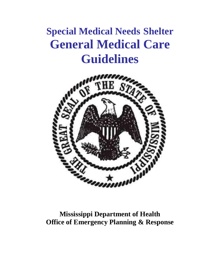# **Special Medical Needs Shelter General Medical Care Guidelines**



# **Mississippi Department of Health Office of Emergency Planning & Response**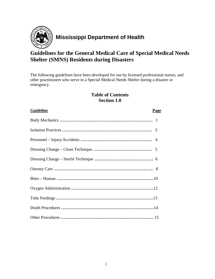

# **Mississippi Department of Health**

# **Guidelines for the General Medical Care of Special Medical Needs Shelter (SMNS) Residents during Disasters**

The following guidelines have been developed for use by licensed professional nurses, and other practitioners who serve in a Special Medical Needs Shelter during a disaster or emergency.

#### **Table of Contents Section 1.0**

# Body Mechanics **…………………………………………………………** 1

**Guideline Page**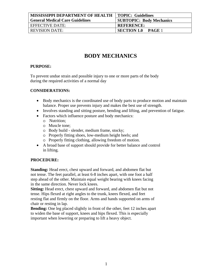| <b>MISSISSIPPI DEPARTMENT OF HEALTH</b> | TOPIC: Guidelines                   |
|-----------------------------------------|-------------------------------------|
| <b>General Medical Care Guidelines</b>  | <b>SUBTOPIC: Body Mechanics</b>     |
| EFFECTIVE DATE:                         | <b>REFERENCE:</b>                   |
| <b>REVISION DATE:</b>                   | <b>SECTION 1.0</b><br><b>PAGE</b> 1 |

# **BODY MECHANICS**

#### **PURPOSE:**

To prevent undue strain and possible injury to one or more parts of the body during the required activities of a normal day

#### **CONSIDERATIONS:**

- Body mechanics is the coordinated use of body parts to produce motion and maintain balance. Proper use prevents injury and makes the best use of strength.
- Involves standing and sitting posture, bending and lifting, and prevention of fatigue.
- Factors which influence posture and body mechanics:
	- o Nutrition;
	- o Muscle tone;
	- o Body build slender, medium frame, stocky;
	- o Properly fitting shoes, low-medium height heels; and
	- o Properly fitting clothing, allowing freedom of motion.
- A broad base of support should provide for better balance and control in lifting.

#### **PROCEDURE:**

**Standing:** Head erect, chest upward and forward, and abdomen flat but not tense. The feet parallel, at least 6-8 inches apart, with one foot a half step ahead of the other. Maintain equal weight bearing with knees facing in the same direction. Never lock knees.

**Sitting:** Head erect, chest upward and forward, and abdomen flat but not tense. Hips flexed at right angles to the trunk, knees flexed, and feet resting flat and firmly on the floor. Arms and hands supported on arms of chair or resting in lap.

**Bending:** One leg placed slightly in front of the other, feet 12 inches apart to widen the base of support, knees and hips flexed. This is especially important when lowering or preparing to lift a heavy object.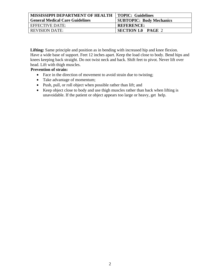| <b>MISSISSIPPI DEPARTMENT OF HEALTH</b> | <b>TOPIC: Guidelines</b>        |
|-----------------------------------------|---------------------------------|
| <b>General Medical Care Guidelines</b>  | <b>SUBTOPIC: Body Mechanics</b> |
| EFFECTIVE DATE:                         | <b>REFERENCE:</b>               |
| <b>REVISION DATE:</b>                   | <b>SECTION 1.0 PAGE 2</b>       |

**Lifting:** Same principle and position as in bending with increased hip and knee flexion. Have a wide base of support. Feet 12 inches apart. Keep the load close to body. Bend hips and knees keeping back straight. Do not twist neck and back. Shift feet to pivot. Never lift over head. Lift with thigh muscles.

#### **Prevention of strain:**

- Face in the direction of movement to avoid strain due to twisting;
- Take advantage of momentum;
- Push, pull, or roll object when possible rather than lift; and
- Keep object close to body and use thigh muscles rather than back when lifting is unavoidable. If the patient or object appears too large or heavy, get help.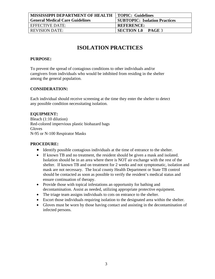| <b>MISSISSIPPI DEPARTMENT OF HEALTH</b> | TOPIC: Guidelines                    |
|-----------------------------------------|--------------------------------------|
| <b>General Medical Care Guidelines</b>  | <b>SUBTOPIC: Isolation Practices</b> |
| EFFECTIVE DATE:                         | <b>REFERENCE:</b>                    |
| <b>REVISION DATE:</b>                   | <b>SECTION 1.0 PAGE 3</b>            |
|                                         |                                      |

# **ISOLATION PRACTICES**

#### **PURPOSE:**

To prevent the spread of contagious conditions to other individuals and/or caregivers from individuals who would be inhibited from residing in the shelter among the general population.

#### **CONSIDERATION:**

Each individual should receive screening at the time they enter the shelter to detect any possible condition necessitating isolation.

#### **EQUIPMENT:**

Bleach (1:10 dilution) Red-colored impervious plastic biohazard bags **Gloves** N-95 or N-100 Respirator Masks

- Identify possible contagious individuals at the time of entrance to the shelter.
- If known TB and no treatment, the resident should be given a mask and isolated. Isolation should be in an area where there is NOT air exchange with the rest of the shelter. If known TB and on treatment for 2 weeks and not symptomatic, isolation and mask are not necessary. The local county Health Department or State TB control should be contacted as soon as possible to verify the resident's medical status and ensure continuation of therapy.
- Provide those with topical infestations an opportunity for bathing and decontamination. Assist as needed, utilizing appropriate protective equipment.
- The triage team assigns individuals to cots on entrance to the shelter.
- Escort those individuals requiring isolation to the designated area within the shelter.
- Gloves must be worn by those having contact and assisting in the decontamination of infected persons.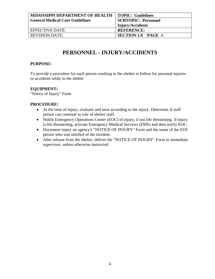| <b>MISSISSIPPI DEPARTMENT OF HEALTH</b> | <b>TOPIC: Guidelines</b>   |
|-----------------------------------------|----------------------------|
| <b>General Medical Care Guidelines</b>  | <b>SUBTOPIC: Personnel</b> |
|                                         | <b>Injury/Accidents</b>    |
| EFFECTIVE DATE:                         | <b>REFERENCE:</b>          |
| <b>REVISION DATE:</b>                   | <b>SECTION 1.0 PAGE 4</b>  |

# **PERSONNEL - INJURY/ACCIDENTS**

#### **PURPOSE:**

To provide a procedure for each person working in the shelter to follow for personal injuries or accidents while in the shelter

#### **EQUIPMENT:**

"Notice of Injury" Form

- At the time of injury, evaluate and treat according to the injury. Determine if staff person can continue in role of shelter staff.
- Notify Emergency Operations Center (EOC) of injury, if not life threatening. If injury is life threatening, activate Emergency Medical Services (EMS) and then notify EOC.
- Document injury on agency's "NOTICE OF INJURY" Form and the name of the EOC person who was notified of the incident.
- After release from the shelter, deliver the "NOTICE OF INJURY" Form to immediate supervisor, unless otherwise instructed.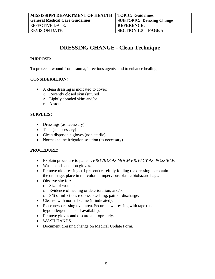| <b>MISSISSIPPI DEPARTMENT OF HEALTH</b> | TOPIC: Guidelines                   |
|-----------------------------------------|-------------------------------------|
| <b>General Medical Care Guidelines</b>  | <b>SUBTOPIC: Dressing Change</b>    |
| EFFECTIVE DATE:                         | <b>REFERENCE:</b>                   |
| <b>REVISION DATE:</b>                   | <b>SECTION 1.0</b><br><b>PAGE 5</b> |

# **DRESSING CHANGE - Clean Technique**

#### **PURPOSE:**

To protect a wound from trauma, infectious agents, and to enhance healing

#### **CONSIDERATION:**

- A clean dressing is indicated to cover:
	- o Recently closed skin (sutured);
	- o Lightly abraded skin; and/or
	- o A stoma.

#### **SUPPLIES:**

- Dressings (as necessary)
- Tape (as necessary)
- Clean disposable gloves (non-sterile)
- Normal saline irrigation solution (as necessary)

- Explain procedure to patient. *PROVIDE AS MUCH PRIVACY AS POSSIBLE.*
- Wash hands and don gloves.
- Remove old dressings (if present) carefully folding the dressing to contain the drainage; place in red-colored impervious plastic biohazard bags.
- Observe site for:
	- o Size of wound;
	- o Evidence of healing or deterioration; and/or
	- o S/S of infection: redness, swelling, pain or discharge.
- Cleanse with normal saline (if indicated).
- Place new dressing over area. Secure new dressing with tape (use hypo-allergenic tape if available).
- Remove gloves and discard appropriately.
- WASH HANDS.
- Document dressing change on Medical Update Form.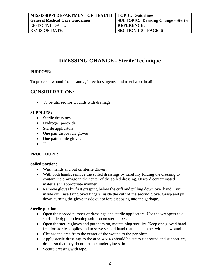| <b>MISSISSIPPI DEPARTMENT OF HEALTH</b> | TOPIC: Guidelines                          |
|-----------------------------------------|--------------------------------------------|
| <b>General Medical Care Guidelines</b>  | <b>SUBTOPIC: Dressing Change - Sterile</b> |
| EFFECTIVE DATE:                         | <b>REFERENCE:</b>                          |
| <b>REVISION DATE:</b>                   | <b>SECTION 1.0 PAGE 6</b>                  |

# **DRESSING CHANGE - Sterile Technique**

#### **PURPOSE:**

To protect a wound from trauma, infectious agents, and to enhance healing

#### **CONSIDERATION:**

• To be utilized for wounds with drainage.

#### **SUPPLIES:**

- Sterile dressings
- Hydrogen peroxide
- Sterile applicators
- One pair disposable gloves
- One pair sterile gloves
- Tape

#### **PROCEDURE:**

#### **Soiled portion:**

- Wash hands and put on sterile gloves.
- With both hands, remove the soiled dressings by carefully folding the dressing to contain the drainage in the center of the soiled dressing. Discard contaminated materials in appropriate manner.
- Remove gloves by first grasping below the cuff and pulling down over hand. Turn inside out. Insert ungloved fingers inside the cuff of the second glove. Grasp and pull down, turning the glove inside out before disposing into the garbage.

#### **Sterile portion:**

- Open the needed number of dressings and sterile applicators. Use the wrappers as a sterile field; pour cleaning solution on sterile 4x4.
- Open the sterile gloves and put them on, maintaining sterility. Keep one gloved hand free for sterile supplies and to serve second hand that is in contact with the wound.
- Cleanse the area from the center of the wound to the periphery.
- Apply sterile dressings to the area. 4 x 4's should be cut to fit around and support any drains so that they do not irritate underlying skin.
- Secure dressing with tape.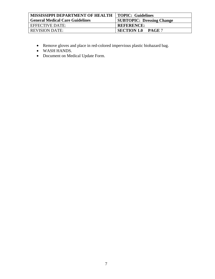| <b>MISSISSIPPI DEPARTMENT OF HEALTH</b> | <b>TOPIC: Guidelines</b>         |
|-----------------------------------------|----------------------------------|
| <b>General Medical Care Guidelines</b>  | <b>SUBTOPIC: Dressing Change</b> |
| EFFECTIVE DATE:                         | <b>REFERENCE:</b>                |
| <b>REVISION DATE:</b>                   | <b>SECTION 1.0</b><br>PAGE 7     |

- Remove gloves and place in red-colored impervious plastic biohazard bag.
- WASH HANDS.
- Document on Medical Update Form.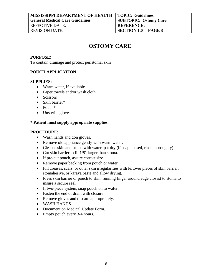| <b>MISSISSIPPI DEPARTMENT OF HEALTH   TOPIC: Guidelines</b> |                                     |
|-------------------------------------------------------------|-------------------------------------|
| <b>General Medical Care Guidelines</b>                      | <b>SUBTOPIC: Ostomy Care</b>        |
| EFFECTIVE DATE:                                             | <b>REFERENCE:</b>                   |
| <b>REVISION DATE:</b>                                       | <b>SECTION 1.0</b><br><b>PAGE 8</b> |

# **OSTOMY CARE**

#### **PURPOSE:**

To contain drainage and protect peristomal skin

#### **POUCH APPLICATION**

#### **SUPPLIES:**

- Warm water, if available
- Paper towels and/or wash cloth
- Scissors
- Skin barrier\*
- Pouch\*
- Unsterile gloves

#### **\* Patient must supply appropriate supplies.**

- Wash hands and don gloves.
- Remove old appliance gently with warm water.
- Cleanse skin and stoma with water; pat dry (if soap is used, rinse thoroughly).
- Cut skin barrier to fit 1/8" larger than stoma.
- If pre-cut pouch, assure correct size.
- Remove paper backing from pouch or wafer.
- Fill creases, scars, or other skin irregularities with leftover pieces of skin barrier, stomahesive, or karaya paste and allow drying.
- Press skin barrier or pouch to skin, running finger around edge closest to stoma to insure a secure seal.
- If two-piece system, snap pouch on to wafer.
- Fasten the end of drain with closure.
- Remove gloves and discard appropriately.
- WASH HANDS.
- Document on Medical Update Form.
- Empty pouch every 3-4 hours.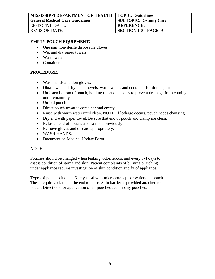| <b>MISSISSIPPI DEPARTMENT OF HEALTH</b> | <b>TOPIC: Guidelines</b>     |
|-----------------------------------------|------------------------------|
| <b>General Medical Care Guidelines</b>  | <b>SUBTOPIC: Ostomy Care</b> |
| EFFECTIVE DATE:                         | <b>REFERENCE:</b>            |
| REVISION DATE:                          | <b>SECTION 1.0 PAGE 9</b>    |

#### **EMPTY POUCH EQUIPMENT:**

- One pair non-sterile disposable gloves
- Wet and dry paper towels
- Warm water
- Container

#### **PROCEDURE:**

- Wash hands and don gloves.
- Obtain wet and dry paper towels, warm water, and container for drainage at bedside.
- Unfasten bottom of pouch, holding the end up so as to prevent drainage from coming out prematurely.
- Unfold pouch.
- Direct pouch towards container and empty.
- Rinse with warm water until clean. NOTE: If leakage occurs, pouch needs changing.
- Dry end with paper towel. Be sure that end of pouch and clamp are clean.
- Refasten end of pouch, as described previously.
- Remove gloves and discard appropriately.
- WASH HANDS.
- Document on Medical Update Form.

#### **NOTE:**

Pouches should be changed when leaking, odoriferous, and every 3-4 days to assess condition of stoma and skin. Patient complaints of burning or itching under appliance require investigation of skin condition and fit of appliance.

Types of pouches include Karaya seal with micropore tape or wafer and pouch. These require a clamp at the end to close. Skin barrier is provided attached to pouch. Directions for application of all pouches accompany pouches.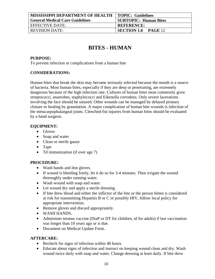| <b>MISSISSIPPI DEPARTMENT OF HEALTH</b> | <b>TOPIC: Guidelines</b>             |
|-----------------------------------------|--------------------------------------|
| <b>General Medical Care Guidelines</b>  | <b>SUBTOPIC: Human Bites</b>         |
| <b>EFFECTIVE DATE:</b>                  | <b>REFERENCE:</b>                    |
| <b>REVISION DATE:</b>                   | <b>SECTION 1.0</b><br><b>PAGE</b> 12 |

# **BITES - HUMAN**

#### **PURPOSE:**

To prevent infection or complications from a human bite

#### **CONSIDERATIONS:**

Human bites that break the skin may become seriously infected because the mouth is a source of bacteria. Most human bites, especially if they are deep or penetrating, are extremely dangerous because of the high infection rate. Cultures of human bites most commonly grow streptococci, anaerobes, staphylococci and Eikenella corrodens. Only severe lacerations involving the face should be sutured. Other wounds can be managed by delayed primary closure or healing by granulation. A major complication of human bite wounds is infection of the metacarpophalangeal joints. Clenched-fist injuries from human bites should be evaluated by a hand surgeon.

#### **EQUIPMENT:**

- Gloves
- Soap and water
- Clean or sterile gauze
- Tape
- Td immunization (if over age 7)

#### **PROCEDURE:**

- Wash hands and don gloves.
- If wound is bleeding freely, let it do so for 3-4 minutes. Then irrigate the wound thoroughly under running water.
- Wash wound with soap and water.
- Let wound dry and apply a sterile dressing.
- If bite drew blood and either the inflictor of the bite or the person bitten is considered at risk for transmitting Hepatitis B or C or possibly HIV, follow local policy for appropriate intervention.
- Remove gloves and discard appropriately.
- WASH HANDS.
- Administer tetanus vaccine (DtaP or DT for children, td for adults) if last vaccination was longer than 10 years ago or is due.
- Document on Medical Update Form.

#### **AFTERCARE:**

- Recheck for signs of infection within 48 hours.
- Educate about signs of infection and instruct on keeping wound clean and dry. Wash wound twice daily with soap and water. Change dressing at least daily. If bite drew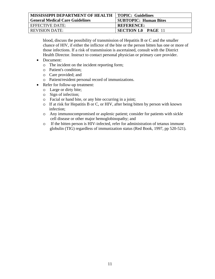| <b>MISSISSIPPI DEPARTMENT OF HEALTH</b> | TOPIC: Guidelines            |
|-----------------------------------------|------------------------------|
| <b>General Medical Care Guidelines</b>  | <b>SUBTOPIC: Human Bites</b> |
| EFFECTIVE DATE:                         | <b>REFERENCE:</b>            |
| REVISION DATE:-                         | <b>SECTION 1.0 PAGE 11</b>   |

blood, discuss the possibility of transmission of Hepatitis B or C and the smaller chance of HIV, if either the inflictor of the bite or the person bitten has one or more of those infections. If a risk of transmission is ascertained, consult with the District Health Director. Instruct to contact personal physician or primary care provider.

- Document:
	- o The incident on the incident reporting form;
	- o Patient's condition;
	- o Care provided; and
	- o Patient/resident personal record of immunizations.
- Refer for follow-up treatment:
	- o Large or dirty bite;
	- o Sign of infection;
	- o Facial or hand bite, or any bite occurring in a joint;
	- o If at risk for Hepatitis B or C, or HIV, after being bitten by person with known infection;
	- o Any immunocompromised or asplenic patient; consider for patients with sickle cell disease or other major hemoglobinopathy; and
	- o If the bitten person is HIV-infected, refer for administration of tetanus immune globulin (TIG) regardless of immunization status (Red Book, 1997, pp 520-521).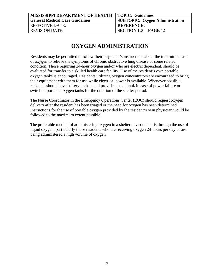| <b>MISSISSIPPI DEPARTMENT OF HEALTH</b> | <b>TOPIC: Guidelines</b>               |
|-----------------------------------------|----------------------------------------|
| <b>General Medical Care Guidelines</b>  | <b>SUBTOPIC: O.ygen Administration</b> |
| EFFECTIVE DATE:                         | <b>REFERENCE:</b>                      |
| <b>REVISION DATE:</b>                   | <b>SECTION 1.0 PAGE 12</b>             |
|                                         |                                        |

# **OXYGEN ADMINISTRATION**

Residents may be permitted to follow their physician's instructions about the intermittent use of oxygen to relieve the symptoms of chronic obstructive lung disease or some related condition. Those requiring 24-hour oxygen and/or who are electric dependent, should be evaluated for transfer to a skilled health care facility. Use of the resident's own portable oxygen tanks is encouraged. Residents utilizing oxygen concentrators are encouraged to bring their equipment with them for use while electrical power is available. Whenever possible, residents should have battery backup and provide a small tank in case of power failure or switch to portable oxygen tanks for the duration of the shelter period.

The Nurse Coordinator in the Emergency Operations Center (EOC) should request oxygen delivery after the resident has been triaged or the need for oxygen has been determined. Instructions for the use of portable oxygen provided by the resident's own physician would be followed to the maximum extent possible.

The preferable method of administering oxygen in a shelter environment is through the use of liquid oxygen, particularly those residents who are receiving oxygen 24-hours per day or are being administered a high volume of oxygen.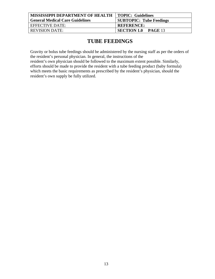| MISSISSIPPI DEPARTMENT OF HEALTH   TOPIC: Guidelines |                                      |
|------------------------------------------------------|--------------------------------------|
| <b>General Medical Care Guidelines</b>               | <b>SUBTOPIC: Tube Feedings</b>       |
| <b>EFFECTIVE DATE:</b>                               | <b>REFERENCE:</b>                    |
| <b>REVISION DATE:</b>                                | <b>SECTION 1.0</b><br><b>PAGE 13</b> |

# **TUBE FEEDINGS**

Gravity or bolus tube feedings should be administered by the nursing staff as per the orders of the resident's personal physician. In general, the instructions of the

resident's own physician should be followed to the maximum extent possible. Similarly, efforts should be made to provide the resident with a tube feeding product (baby formula) which meets the basic requirements as prescribed by the resident's physician, should the resident's own supply be fully utilized.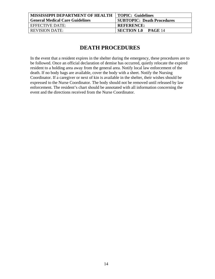| <b>MISSISSIPPI DEPARTMENT OF HEALTH   TOPIC: Guidelines</b> |                                   |
|-------------------------------------------------------------|-----------------------------------|
| <b>General Medical Care Guidelines</b>                      | <b>SUBTOPIC: Death Procedures</b> |
| EFFECTIVE DATE:                                             | <b>REFERENCE:</b>                 |
| <b>REVISION DATE:</b>                                       | <b>SECTION 1.0</b><br>$PAGE$ 14   |
|                                                             |                                   |

# **DEATH PROCEDURES**

In the event that a resident expires in the shelter during the emergency, these procedures are to be followed. Once an official declaration of demise has occurred, quietly relocate the expired resident to a holding area away from the general area. Notify local law enforcement of the death. If no body bags are available, cover the body with a sheet. Notify the Nursing Coordinator. If a caregiver or next of kin is available in the shelter, their wishes should be expressed to the Nurse Coordinator. The body should not be removed until released by law enforcement. The resident's chart should be annotated with all information concerning the event and the directions received from the Nurse Coordinator.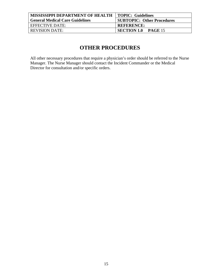| <b>MISSISSIPPI DEPARTMENT OF HEALTH</b> | <b>TOPIC: Guidelines</b>             |
|-----------------------------------------|--------------------------------------|
| <b>General Medical Care Guidelines</b>  | <b>SUBTOPIC: Other Procedures</b>    |
| EFFECTIVE DATE:                         | <b>REFERENCE:</b>                    |
| REVISION DATE:                          | <b>SECTION 1.0</b><br><b>PAGE 15</b> |

# **OTHER PROCEDURES**

All other necessary procedures that require a physician's order should be referred to the Nurse Manager. The Nurse Manager should contact the Incident Commander or the Medical Director for consultation and/or specific orders.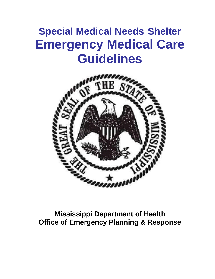# **Special Medical Needs Shelter Emergency Medical Care Guidelines**



**Mississippi Department of Health Office of Emergency Planning & Response**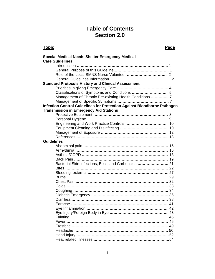# **Table of Contents Section 2.0**

#### **Topic Page 2018**

|                   | <b>Special Medical Needs Shelter Emergency Medical</b>                  |
|-------------------|-------------------------------------------------------------------------|
|                   | <b>Care Guidelines</b>                                                  |
|                   |                                                                         |
|                   |                                                                         |
|                   |                                                                         |
|                   |                                                                         |
|                   | <b>Standard Protocols History and Clinical Assessment</b>               |
|                   |                                                                         |
|                   |                                                                         |
|                   | Management of Chronic Pre-existing Health Conditions  7                 |
|                   |                                                                         |
|                   | Infection Control Guidelines for Protection Against Bloodborne Pathogen |
|                   | <b>Transmission in Emergency Aid Stations</b>                           |
|                   |                                                                         |
|                   |                                                                         |
|                   | Engineering and Work Practice Controls  10                              |
|                   |                                                                         |
|                   |                                                                         |
|                   |                                                                         |
| <b>Guidelines</b> |                                                                         |
|                   |                                                                         |
|                   |                                                                         |
|                   |                                                                         |
|                   |                                                                         |
|                   | Bacterial Skin Infections, Boils, and Carbuncles  21                    |
|                   |                                                                         |
|                   |                                                                         |
|                   |                                                                         |
|                   |                                                                         |
|                   |                                                                         |
|                   |                                                                         |
|                   |                                                                         |
|                   |                                                                         |
|                   |                                                                         |
|                   |                                                                         |
|                   | 43                                                                      |
|                   |                                                                         |
|                   |                                                                         |
|                   |                                                                         |
|                   |                                                                         |
|                   |                                                                         |
|                   |                                                                         |
|                   |                                                                         |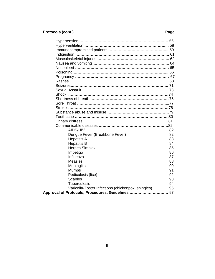# **Protocols (cont.)** Protocols (cont.)

| AIDS/HIV                                           | 82 |
|----------------------------------------------------|----|
| Dengue Fever (Breakbone Fever)                     | 82 |
| <b>Hepatitis A</b>                                 | 83 |
| <b>Hepatitis B</b>                                 | 84 |
| <b>Herpes Simplex</b>                              | 85 |
| Impetigo                                           | 86 |
| Influenza                                          | 87 |
| <b>Measles</b>                                     | 88 |
| Meningitis                                         | 90 |
| <b>Mumps</b>                                       | 91 |
| Pediculosis (lice)                                 | 92 |
| <b>Scabies</b>                                     | 93 |
| <b>Tuberculosis</b>                                | 94 |
| Varicella-Zoster Infections (chickenpox, shingles) | 95 |
| Approval of Protocols, Procedures, Guidelines  97  |    |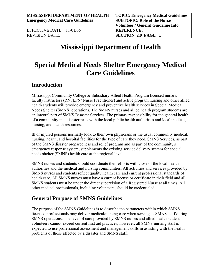| <b>MISSISSIPPI DEPARTMENT OF HEALTH</b>  | <b>TOPIC: Emergency Medical Guidelines</b> |
|------------------------------------------|--------------------------------------------|
| <b>Emergency Medical Care Guidelines</b> | <b>SUBTOPIC: Role of the Nurse</b>         |
|                                          | Volunteer / General Guideline Info.        |
| EFFECTIVE DATE: $11/01/06$               | <b>REFERENCE:</b>                          |
| <b>REVISION DATE:</b>                    | <b>SECTION 2.0 PAGE 1</b>                  |

# **Mississippi Department of Health**

# **Special Medical Needs Shelter Emergency Medical Care Guidelines**

## **Introduction**

Mississippi Community College & Subsidiary Allied Health Program licensed nurse's faculty instructors (RN /LPN/ Nurse Practitioner) and active program nursing and other allied health students will provide emergency and preventive health services in Special Medical Needs Shelter (SMNS) operations. The SMNS nurses and allied health program students are an integral part of SMNS Disaster Services. The primary responsibility for the general health of a community in a disaster rests with the local public health authorities and local medical, nursing, and health resources.

Ill or injured persons normally look to their own physicians or the usual community medical, nursing, health, and hospital facilities for the type of care they need. SMNS Services, as part of the SMNS disaster preparedness and relief program and as part of the community's emergency response system, supplements the existing service delivery system for special needs shelter (SMNS) health care at the regional level.

SMNS nurses and students should coordinate their efforts with those of the local health authorities and the medical and nursing communities. All activities and services provided by SMNS nurses and students reflect quality health care and current professional standards of health care. All SMNS nurses must have a current license or certificate in their field and all SMNS students must be under the direct supervision of a Registered Nurse at all times. All other medical professionals, including volunteers, should be credentialed.

# **General Purpose of SMNS Guidelines**

The purpose of the SMNS Guidelines is to describe the parameters within which SMNS licensed professionals may deliver medical/nursing care when serving as SMNS staff during SMNS operations. The level of care provided by SMNS nurses and allied health student volunteers cannot exceed current first aid practices; however, all SMNS nursing staff is expected to use professional assessment and management skills in assisting with the health problems of those affected by a disaster and SMNS staff.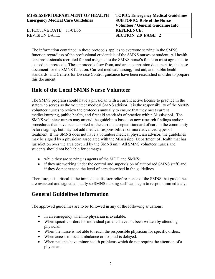| <b>TOPIC: Emergency Medical Guidelines</b><br><b>SUBTOPIC: Role of the Nurse</b> |
|----------------------------------------------------------------------------------|
| Volunteer / General Guideline Info.                                              |
| <b>REFERENCE:</b>                                                                |
| <b>SECTION 2.0 PAGE 2</b>                                                        |
|                                                                                  |

The information contained in these protocols applies to everyone serving in the SMNS function regardless of the professional credentials of the SMNS nurses or student. All health care professionals recruited for and assigned to the SMNS nurse's function must agree not to exceed the protocols. These protocols flow from, and are a companion document to, the base document for the SMNS function. Current medical/nursing, first aid, and public health standards, and Centers for Disease Control guidance have been researched in order to prepare this document.

# **Role of the Local SMNS Nurse Volunteer**

The SMNS program should have a physician with a current active license to practice in the state who serves as the volunteer medical SMNS advisor. It is the responsibility of the SMNS volunteer nurses to review the protocols annually to ensure that they meet current medical/nursing, public health, and first aid standards of practice within Mississippi. The SMNS volunteer nurses may amend the guidelines based on new research findings and/or procedures that have been adopted as the current accepted standard of care in the community before signing, but may not add medical responsibilities or more advanced types of treatment. If the SMNS does not have a volunteer medical physician advisor, the guidelines may be signed by a physician associated with the Mississippi Department of Health that has jurisdiction over the area covered by the SMNS unit. All SMNS volunteer nurses and students should not be liable for damages:

- while they are serving as agents of the MDH and SMNS;
- if they are working under the control and supervision of authorized SMNS staff, and if they do not exceed the level of care described in the guidelines.

Therefore, it is critical to the immediate disaster relief response of the SMNS that guidelines are reviewed and signed annually so SMNS nursing staff can begin to respond immediately.

# **General Guidelines Information**

The approved guidelines are to be followed in any of the following situations:

- In an emergency when no physician is available.
- When specific orders for individual patients have not been written by attending physician.
- When the nurse is not able to reach the responsible physician for specific orders.
- When access to local ambulance or hospital is delayed.
- When patients have minor health problems which do not require the attention of a physician.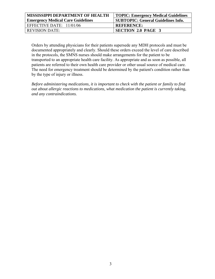| <b>MISSISSIPPI DEPARTMENT OF HEALTH</b>  | TOPIC: Emergency Medical Guidelines       |  |
|------------------------------------------|-------------------------------------------|--|
| <b>Emergency Medical Care Guidelines</b> | <b>SUBTOPIC: General Guidelines Info.</b> |  |
| EFFECTIVE DATE: 11/01/06                 | <b>REFERENCE:</b>                         |  |
| <b>REVISION DATE:</b>                    | SECTION 2.0 PAGE 3                        |  |

Orders by attending physicians for their patients supersede any MDH protocols and must be documented appropriately and clearly. Should these orders exceed the level of care described in the protocols, the SMNS nurses should make arrangements for the patient to be transported to an appropriate health care facility. As appropriate and as soon as possible, all patients are referred to their own health care provider or other usual source of medical care. The need for emergency treatment should be determined by the patient's condition rather than by the type of injury or illness.

*Before administering medications, it is important to check with the patient or family to find out about allergic reactions to medications, what medication the patient is currently taking, and any contraindications.*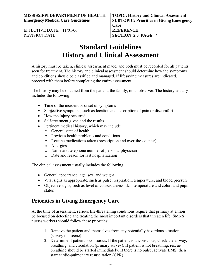| MISSISSIPPI DEPARTMENT OF HEALTH         | <b>TOPIC: History and Clinical Assessment</b>   |
|------------------------------------------|-------------------------------------------------|
| <b>Emergency Medical Care Guidelines</b> | <b>SUBTOPIC: Priorities in Giving Emergency</b> |
|                                          | Care                                            |
| EFFECTIVE DATE: $11/01/06$               | <b>REFERENCE:</b>                               |
| <b>REVISION DATE:</b>                    | <b>SECTION 2.0 PAGE 4</b>                       |

# **Standard Guidelines History and Clinical Assessment**

A history must be taken, clinical assessment made, and both must be recorded for all patients seen for treatment. The history and clinical assessment should determine how the symptoms and conditions should be classified and managed. If lifesaving measures are indicated, proceed with them before completing the entire assessment.

The history may be obtained from the patient, the family, or an observer. The history usually includes the following:

- Time of the incident or onset of symptoms
- Subjective symptoms, such as location and description of pain or discomfort
- How the injury occurred
- Self-treatment given and the results
- Pertinent medical history, which may include
	- o General state of health
	- o Previous health problems and conditions
	- o Routine medications taken (prescription and over-the-counter)
	- o Allergies
	- o Name and telephone number of personal physician
	- o Date and reason for last hospitalization

The clinical assessment usually includes the following:

- General appearance, age, sex, and weight
- Vital signs as appropriate, such as pulse, respiration, temperature, and blood pressure
- Objective signs, such as level of consciousness, skin temperature and color, and pupil status

# **Priorities in Giving Emergency Care**

At the time of assessment, serious life-threatening conditions require that primary attention be focused on detecting and treating the most important disorders that threaten life. SMNS nurses workers should follow these priorities:

- 1. Remove the patient and themselves from any potentially hazardous situation (survey the scene).
- 2. Determine if patient is conscious. If the patient is unconscious, check the airway, breathing, and circulation (primary survey). If patient is not breathing, rescue breathing should be started immediately. If there is no pulse, activate EMS, then start cardio-pulmonary resuscitation (CPR).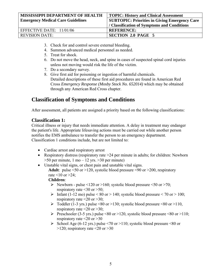| MISSISSIPPI DEPARTMENT OF HEALTH         | <b>TOPIC: History and Clinical Assessment</b>        |
|------------------------------------------|------------------------------------------------------|
| <b>Emergency Medical Care Guidelines</b> | <b>SUBTOPIC: Priorities in Giving Emergency Care</b> |
|                                          | / Classification of Symptoms and Conditions          |
| EFFECTIVE DATE: $11/01/06$               | <b>REFERENCE:</b>                                    |
| <b>REVISION DATE:</b>                    | <b>SECTION 2.0 PAGE 5</b>                            |

- 3. Check for and control severe external bleeding.
- 4. Summon advanced medical personnel as needed.
- 5. Treat for shock.
- 6. Do not move the head, neck, and spine in cases of suspected spinal cord injuries unless not moving would risk the life of the victim.
- 7. Do a secondary survey.
- 8. Give first aid for poisoning or ingestion of harmful chemicals. Detailed descriptions of these first aid procedures are found in American Red Cross *Emergency Response (Mosby Stock No. 652014)* which may be obtained through any American Red Cross chapter.

# **Classification of Symptoms and Conditions**

After assessment, all patients are assigned a priority based on the following classifications:

#### **Classification 1:**

Critical illness or injury that needs immediate attention. A delay in treatment may endanger the patient's life. Appropriate lifesaving actions must be carried out while another person notifies the EMS ambulance to transfer the person to an emergency department. Classification 1 conditions include, but are not limited to:

- Cardiac arrest and respiratory arrest
- Respiratory distress (respiratory rate > 24 per minute in adults; for children: Newborn  $>50$  per minute, 1 mo – 12 yrs.  $>30$  per minute)
- Unstable vital signs, or chest pain and unstable vital signs. **Adult**: pulse  $\leq 50$  or  $>120$ , systolic blood pressure  $\leq 90$  or  $\geq 200$ , respiratory rate  $\leq 10$  or  $\geq 24$ ;

#### **Children**:

- $\triangleright$  Newborn pulse <120 or >160; systolic blood pressure <50 or >70; respiratory rate  $\leq 30$  or  $\geq 50$ ;
- Infant (1-12 mo) pulse < 80 or > 140; systolic blood pressure < 70 or > 100; respiratory rate  $\leq$ 20 or  $>$ 30;
- $\triangleright$  Toddler (1-3 yrs.) pulse <80 or >130; systolic blood pressure <80 or >110, respiratory rate  $\leq 20$  or  $> 30$ ;
- $\triangleright$  Preschooler (3-5 yrs.) pulse <80 or >120, systolic blood pressure <80 or >110; respiratory rate  $\leq 20$  or  $> 30$
- School Age (6-12 yrs.) pulse <70 or >110; systolic blood pressure <80 or  $>120$ ; respiratory rate  $<20$  or  $>30$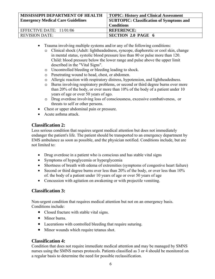| <b>MISSISSIPPI DEPARTMENT OF HEALTH</b><br><b>Emergency Medical Care Guidelines</b> | <b>TOPIC: History and Clinical Assessment</b><br><b>SUBTOPIC: Classification of Symptoms and</b><br><b>Conditions</b> |
|-------------------------------------------------------------------------------------|-----------------------------------------------------------------------------------------------------------------------|
| EFFECTIVE DATE: 11/01/06                                                            | <b>REFERENCE:</b>                                                                                                     |
| <b>REVISION DATE:</b>                                                               | <b>SECTION 2.0 PAGE 6</b>                                                                                             |

- Trauma involving multiple systems and/or any of the following conditions:
	- o Clinical shock (Adult: lightheadedness, syncope, diaphoretic or cool skin, change in mental status, systolic blood pressure less than 80 or pulse more than 120. Child: blood pressure below the lower range and pulse above the upper limit described in the "Vital Signs".
	- o Uncontrolled bleeding or bleeding leading to shock.
	- o Penetrating wound to head, chest, or abdomen.
	- o Allergic reaction with respiratory distress, hypotension, and lightheadedness.
	- o Burns involving respiratory problems, or second or third degree burns over more than 20% of the body, or over more than 10% of the body of a patient under 10 years of age or over 50 years of ago.
	- o Drug overdose involving loss of consciousness, excessive combativeness, or threats to self or other persons.
- Chest or upper abdominal pain or pressure.
- Acute asthma attack.

#### **Classification 2:**

Less serious condition that requires urgent medical attention but does not immediately endanger the patient's life. The patient should be transported to an emergency department by EMS ambulance as soon as possible, and the physician notified. Conditions include, but are not limited to:

- Drug overdose in a patient who is conscious and has stable vital signs
- Symptoms of hypoglycemia or hyperglycemia
- Shortness of breath with edema of extremities (symptoms of congestive heart failure)
- Second or third degree burns over less than 20% of the body, or over less than 10% of. the body of a patient under 10 years of age or over 50 years of age
- Concussion with agitation on awakening or with projectile vomiting.

#### **Classification 3:**

Non-urgent condition that requires medical attention but not on an emergency basis. Conditions include:

- Closed fracture with stable vital signs.
- Minor burns.
- Lacerations with controlled bleeding that require suturing.
- Minor wounds which require tetanus shot.

#### **Classification 4:**

Condition that does not require immediate medical attention and may be managed by SMNS nurses using the SMNS nurses protocols. Patients classified as 3 or 4 should be monitored on a regular basis to determine the need for possible reclassification.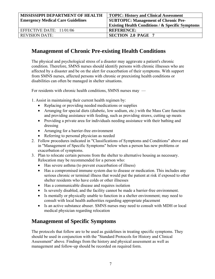| <b>MISSISSIPPI DEPARTMENT OF HEALTH</b>  | <b>TOPIC: History and Clinical Assessment</b>               |
|------------------------------------------|-------------------------------------------------------------|
| <b>Emergency Medical Care Guidelines</b> | <b>SUBTOPIC: Management of Chronic Pre-</b>                 |
|                                          | <b>Existing Health Conditions / &amp; Specific Symptoms</b> |
| EFFECTIVE DATE: $11/01/06$               | <b>REFERENCE:</b>                                           |
| <b>REVISION DATE:</b>                    | <b>SECTION 2.0 PAGE 7</b>                                   |

# **Management of Chronic Pre-existing Health Conditions**

The physical and psychological stress of a disaster may aggravate a patient's chronic condition. Therefore, SMNS nurses should identify persons with chronic illnesses who are affected by a disaster and be on the alert for exacerbation of their symptoms. With support from SMNS nurses, affected persons with chronic or preexisting health conditions or disabilities can often be managed in shelter situations.

For residents with chronic health conditions, SMNS nurses may —

1. Assist in maintaining their current health regimen by:

- Replacing or providing needed medications or supplies
- Arranging for special diets (diabetic, low sodium, etc.) with the Mass Care function and providing assistance with feeding, such as providing straws, cutting up meats
- Providing a private area for individuals needing assistance with their bathing and dressing
- Arranging for a barrier-free environment
- Referring to personal physician as needed
- 2. Follow procedures indicated in "Classifications of Symptoms and Conditions" above and in "Management of Specific Symptoms" below when a person has new problems or exacerbation of symptoms.
- 3. Plan to relocate certain persons from the shelter to alternative housing as necessary. Relocation may be recommended for a person who:
	- Has severe asthma (to prevent exacerbation of illness)
	- Has a compromised immune system due to disease or medication. This includes any serious chronic or terminal illness that would put the patient at risk if exposed to other shelter residents who have colds or other illnesses
	- Has a communicable disease and requires isolation
	- Is severely disabled, and the facility cannot be made a barrier-free environment.
	- Is mentally or physically unable to function in a shelter environment; may need to consult with local health authorities regarding appropriate placement
	- Is an active substance abuser. SMNS nurses may need to consult with MDH or local medical physician regarding relocation

# **Management of Specific Symptoms**

The protocols that follow are to be used as guidelines in treating specific symptoms. They should be used in conjunction with the "Standard Protocols for History and Clinical Assessment" above. Findings from the history and physical assessment as well as management and follow-up should be recorded on required form.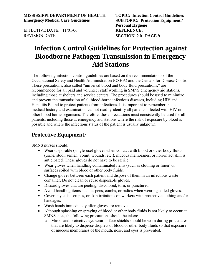| <b>MISSISSIPPI DEPARTMENT OF HEALTH</b>  | TOPIC: Infection Control Guidelines |
|------------------------------------------|-------------------------------------|
| <b>Emergency Medical Care Guidelines</b> | SUBTOPIC: Protection Equipment /    |
|                                          | <b>Personal Hygiene</b>             |
| EFFECTIVE DATE: 11/01/06                 | <b>REFERENCE:</b>                   |
| <b>REVISION DATE:</b>                    | <b>SECTION 2.0 PAGE 9</b>           |

# **Infection Control Guidelines for Protection against Bloodborne Pathogen Transmission in Emergency Aid Stations**

The following infection control guidelines are based on the recommendations of the Occupational Safety and Health Administration (OSHA) and the Centers for Disease Control. These precautions, also called "universal blood and body fluid precautions," are recommended for all paid and volunteer staff working in SMNS emergency aid stations, including those at shelters and service centers. The procedures should be used to minimize and prevent the transmission of all blood-borne infectious diseases, including HIV and Hepatitis B, and to protect patients from infections. It is important to remember that a medical history and examination cannot readily identify all patients infected with HIV or other blood borne organisms. Therefore, these precautions must consistently be used for all patients, including those at emergency aid stations where the risk of exposure by blood is possible and where the infectious status of the patient is usually unknown.

# **Protective Equipment***:*

SMNS nurses should:

- Wear disposable (single-use) gloves when contact with blood or other body fluids (urine, stool, semen, vomit, wounds, etc.), mucous membranes, or non-intact skin is anticipated. These gloves do not have to be sterile.
- Wear gloves when handling contaminated items (such as clothing or linen) or surfaces soiled with blood or other body fluids.
- Change gloves between each patient and dispose of them in an infectious waste container. Do not clean or reuse disposable gloves.
- Discard gloves that are peeling, discolored, torn, or punctured.
- Avoid handling items such as pens, combs, or radios when wearing soiled gloves.
- Cover any cuts, scrapes, or skin irritations on workers with protective clothing and/or bandages.
- Wash hands immediately after gloves are removed.
- Although splashing or spraying of blood or other body fluids is not likely to occur at SMNS sites, the following precautions should be taken:
	- o Masks and protective eye wear or face shields should be worn during procedures that are likely to disperse droplets of blood or other body fluids so that exposure of mucous membranes of the mouth, nose, and eyes is prevented.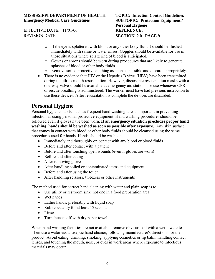| <b>MISSISSIPPI DEPARTMENT OF HEALTH</b>  | <b>TOPIC: Infection Control Guidelines</b> |
|------------------------------------------|--------------------------------------------|
| <b>Emergency Medical Care Guidelines</b> | SUBTOPIC: Protection Equipment /           |
|                                          | <b>Personal Hygiene</b>                    |
| EFFECTIVE DATE: 11/01/06                 | <b>REFERENCE:</b>                          |
| <b>REVISION DATE:</b>                    | <b>SECTION 2.0 PAGE 9</b>                  |

- o If the eye is splattered with blood or any other body fluid it should be flushed immediately with saline or water rinses. Goggles should be available for use in those situations where splattering of blood is anticipated.
- o Gowns or aprons should be worn during procedures that are likely to generate splashes of blood or other body fluids.
- o Remove soiled protective clothing as soon as possible and discard appropriately.
- There is no evidence that HIV or the Hepatitis B virus (HBV) have been transmitted during mouth-to-mouth resuscitation. However, disposable resuscitation masks with a one-way valve should be available at emergency aid stations for use whenever CPR or rescue breathing is administered. The worker must have had previous instruction to use these devices. After resuscitation is complete the devices are discarded.

# **Personal Hygiene**

Personal hygiene habits, such as frequent hand washing, are as important in preventing infection as using personal protective equipment. Hand washing procedures should be followed even if gloves have been worn. **If an emergency situation precludes proper hand washing, hands should be washed as soon as possible after exposure.** Any skin surface that comes in contact with blood or other body fluids should be cleansed using the same procedures used for hands. Hands should be washed:

- Immediately and thoroughly on contact with any blood or blood fluids
- Before and after contact with a patient
- Before and after touching open wounds (even if gloves are worn)
- Before and after eating
- After removing gloves
- After handling soiled or contaminated items and equipment
- Before and after using the toilet
- After handling scissors, tweezers or other instruments

The method used for correct hand cleaning with water and plain soap is to:

- Use utility or restroom sink, not one in a food preparation area
- Wet hands
- Lather hands, preferably with liquid soap
- Rub repeatedly for at least 15 seconds
- Rinse
- Turn faucets off with dry paper towel

When hand washing facilities are not available, remove obvious soil with a wet towelette. Then use a waterless antiseptic hand cleaner, following manufacturer's directions for the product. Avoid eating, drinking, smoking, applying cosmetics or lip balm, handling contact lenses, and touching the mouth, nose, or eyes in work areas where exposure to infectious materials may occur.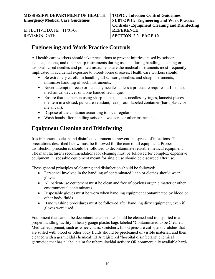| <b>MISSISSIPPI DEPARTMENT OF HEALTH</b>  | <b>TOPIC: Infection Control Guidelines</b>            |
|------------------------------------------|-------------------------------------------------------|
| <b>Emergency Medical Care Guidelines</b> | <b>SUBTOPIC: Engineering and Work Practice</b>        |
|                                          | <b>Controls / Equipment Cleaning and Disinfecting</b> |
| EFFECTIVE DATE: 11/01/06                 | <b>REFERENCE:</b>                                     |
| <b>REVISION DATE:</b>                    | SECTION 2.0 PAGE 10                                   |

## **Engineering and Work Practice Controls**

All health care workers should take precautions to prevent injuries caused by scissors, needles, lancets, and other sharp instruments during use and during handling, cleaning or disposal. Used needles and pointed instruments are the medical instruments most frequently implicated in accidental exposure to blood-borne diseases. Health care workers should:

- Be extremely careful in handling all scissors, needles, and sharp instruments; minimize handling of such instruments.
- Never attempt to recap or bend any needles unless a procedure requires it. If so, use mechanical devices or a one-handed technique.
- Ensure that the person using sharp items (such as needles, syringes, lancets) places the item in a closed, puncture-resistant, leak proof, labeled container (hard plastic or metal can).
- Dispose of the container according to local regulations.
- Wash hands after handling scissors, tweezers, or other instruments.

# **Equipment Cleaning and Disinfecting**

It is important to clean and disinfect equipment to prevent the spread of infections. The precautions described below must be followed for the care of all equipment. Proper disinfection procedures should be followed to decontaminate reusable medical equipment. The manufacturer's recommendations for cleaning must be followed for complex, expensive equipment. Disposable equipment meant for single use should be discarded after use.

These general principles of cleaning and disinfection should be followed:

- Personnel involved in the handling of contaminated linen or clothes should wear gloves.
- All patient-use equipment must be clean and free of obvious organic matter or other environmental contaminants.
- Disposable gloves must be worn when handling equipment contaminated by blood or other body fluids.
- Hand washing procedures must be followed after handling dirty equipment, even if gloves were used.

Equipment that cannot be decontaminated on site should be cleaned and transported to a proper handling facility in heavy gauge plastic bags labeled "Contaminated to be Cleaned." Medical equipment, such as wheelchairs, stretchers, blood pressure cuffs, and crutches that are soiled with blood or other body fluids should be precleaned of visible material, and then cleaned with a germicidal chemical: EPA registered "hospital disinfectant" chemical germicide that has a label claim for tuberculocidal activity OR commercially available hard-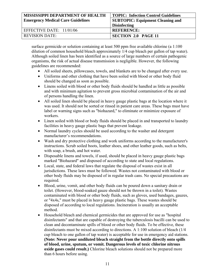| MISSISSIPPI DEPARTMENT OF HEALTH         | <b>TOPIC: Infection Control Guidelines</b> |
|------------------------------------------|--------------------------------------------|
| <b>Emergency Medical Care Guidelines</b> | <b>SUBTOPIC: Equipment Cleaning and</b>    |
|                                          | <b>Disinfecting</b>                        |
| EFFECTIVE DATE: $11/01/06$               | <b>REFERENCE:</b>                          |
| <b>REVISION DATE:</b>                    | <b>SECTION 2.0 PAGE 11</b>                 |

surface germicide or solution containing at least 500 ppm free available chlorine (a 1:100 dilution of common household bleach approximately 1/4 cup bleach per gallon of tap water). Although soiled linen has been identified as a source of large numbers of certain pathogenic organisms, the risk of actual disease transmission is negligible. However, the following guidelines are recommended:

- All soiled sheets, pillowcases, towels, and blankets are to be changed after every use.
- Uniforms and other clothing that have been soiled with blood or other body fluid should be changed as soon as possible.
- Linens soiled with blood or other body fluids should be handled as little as possible and with minimum agitation to prevent gross microbial contamination of the air and of persons handling the linen.
- All soiled linen should be placed in heavy gauge plastic bags at the location where it was used. It should not be sorted or rinsed in patient care areas. These bags must have label or warning signs such as "biohazard," to eliminate or minimize exposure of workers.
- Linen soiled with blood or body fluids should be placed in and transported to laundry facilities in heavy gauge plastic bags that prevent leakage.
- Normal laundry cycles should be used according to the washer and detergent manufacturer's recommendations.
- Wash and dry protective clothing and work uniforms according to the manufacturer's instructions. Scrub soiled boots, leather shoes, and other leather goods, such as belts, with soap, a brush, and hot water.
- Disposable linens and towels, if used, should be placed in heavy gauge plastic bags marked "Biohazard" and disposed of according to state and local regulations.
- Local, state, and federal laws that regulate the disposal of wastes exist in all jurisdictions. These laws must be followed. Wastes not contaminated with blood or other body fluids may be disposed of in regular trash cans. No special precautions are required.
- Blood, urine, vomit, and other body fluids can be poured down a sanitary drain or toilet. (However, blood-soaked gauze should not be thrown in a toilet). Wastes contaminated with blood or other body fluids, such as gloves, used bandages, gauzes, or "4x4s," must be placed in heavy gauge plastic bags. These wastes should be disposed of according to local regulations. Incineration is usually an acceptable method.
- Household bleach and chemical germicides that are approved for use as "hospital disinfectants" and that are capable of destroying the tuberculosis bacilli can be used to clean and decontaminate spills of blood or other body fluids. To be effective, these disinfectants must be mixed according to directions. A 1:100 solution of bleach (1/4 cup bleach to one gallon of tap water) is acceptable for use in emergency aid stations. **(Note: Never pour undiluted bleach straight from the bottle directly onto spills of blood, urine, sputum, or vomit. Dangerous levels of toxic chlorine nitrous oxide gases could result.)** Chlorine bleach solutions should not be prepared more than 6 hours before using.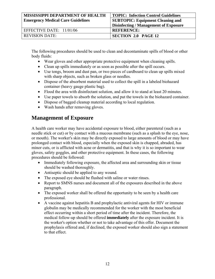| MISSISSIPPI DEPARTMENT OF HEALTH         | <b>TOPIC: Infection Control Guidelines</b> |
|------------------------------------------|--------------------------------------------|
| <b>Emergency Medical Care Guidelines</b> | <b>SUBTOPIC: Equipment Cleaning and</b>    |
|                                          | Disinfecting / Management of Exposure      |
| EFFECTIVE DATE: 11/01/06                 | <b>REFERENCE:</b>                          |
| <b>REVISION DATE:</b>                    | <b>SECTION 2.0 PAGE 12</b>                 |

The following procedures should be used to clean and decontaminate spills of blood or other body fluids:

- Wear gloves and other appropriate protective equipment when cleaning spills.
- Clean up spills immediately or as soon as possible after the spill occurs.
- Use tongs, broom and dust pan, or two pieces of cardboard to clean up spills mixed with sharp objects, such as broken glass or needles.
- Dispose of the absorbent material used to collect the spill in a labeled biohazard container (heavy gauge plastic bag).
- Flood the area with disinfectant solution, and allow it to stand at least 20 minutes.
- Use paper towels to absorb the solution, and put the towels in the biohazard container.
- Dispose of bagged cleanup material according to local regulation.
- Wash hands after removing gloves.

### **Management of Exposure**

A health care worker may have accidental exposure to blood, either parenteral (such as a needle stick or cut) or by contact with a mucous membrane (such as a splash to the eye, nose, or mouth). The worker's skin may be directly exposed to large amounts of blood or may have prolonged contact with blood, especially when the exposed skin is chapped, abraded, has minor cuts, or is afflicted with acne or dermatitis, and that is why it is so important to wear gloves, safety goggles, and other protective equipment. In these cases, the following procedures should be followed:

- Immediately following exposure, the affected area and surrounding skin or tissue should be washed thoroughly.
- Antiseptic should be applied to any wound.
- The exposed eye should be flushed with saline or water rinses.
- Report to SMNS nurses and document all of the exposures described in the above paragraph.
- The exposed worker shall be offered the opportunity to be seen by a health care professional.
- A vaccine against hepatitis B and prophylactic antiviral agents for HIV or immune globulin may be medically recommended for the worker with the most beneficial effect occurring within a short period of time after the incident. Therefore, the medical follow-up should be offered **immediately** after the exposure incident. It is the worker's option whether or not to take advantage of this offer. Document the prophylaxis offered and, if declined, the exposed worker should also sign a statement to that effect.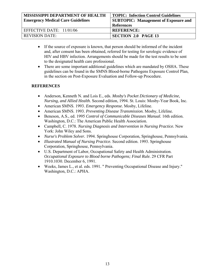| <b>MISSISSIPPI DEPARTMENT OF HEALTH</b>  | <b>TOPIC: Infection Control Guidelines</b>  |
|------------------------------------------|---------------------------------------------|
| <b>Emergency Medical Care Guidelines</b> | <b>SUBTOPIC:</b> Management of Exposure and |
|                                          | <b>References</b>                           |
| EFFECTIVE DATE: 11/01/06                 | <b>REFERENCE:</b>                           |
| <b>REVISION DATE:</b>                    | <b>SECTION 2.0 PAGE 13</b>                  |

- If the source of exposure is known, that person should be informed of the incident and, after consent has been obtained, referred for testing for serologic evidence of HIV and HBV infection. Arrangements should be made for the test results to be sent to the designated health care professional.
- There are some important additional guidelines which are mandated by OSHA. These guidelines can be found in the SMNS Blood-borne Pathogens Exposure Control Plan, in the section on Post-Exposure Evaluation and Follow-up Procedure.

#### **REFERENCES**

- Anderson, Kenneth N. and Lois E., eds. *Mosby's Pocket Dictionary of Medicine, Nursing, and Allied Health.* Second edition, 1994. St. Louis: Mosby-Year Book, Inc.
- American SMNS. 1993. *Emergency Response.* Mosby, Lifeline.
- American SMNS. 1993. *Preventing Disease Transmission.* Mosby, Lifeline.
- Beneson, A.S., ed. 1995 *Control of Communicable Diseases Manual.* 16th edition. Washington, D.C.: The American Public Health Association.
- Campbell, C. 1978. *Nursing Diagnosis and Intervention in Nursing Practice.* New York: John Wiley and Sons.
- *Nurse's Problem Solver.* 1994. Springhouse Corporation, Springhouse, Pennsylvania.
- *Illustrated Manual of Nursing Practice.* Second edition. 1993. Springhouse Corporation, Springhouse, Pennsylvania.
- U.S. Department of Labor, Occupational Safety and Health Administration. *Occupational Exposure to Blood borne Pathogens; Final Rule.* 29 CFR Part 1910.1030. December 6, 1991.
- Weeks, James L., et al. eds. 1991. " Preventing Occupational Disease and Injury." Washington, D.C.: APHA.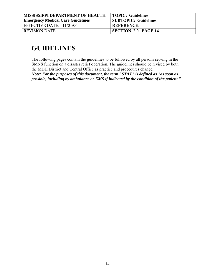| <b>MISSISSIPPI DEPARTMENT OF HEALTH</b>  | <b>TOPIC: Guidelines</b>    |
|------------------------------------------|-----------------------------|
| <b>Emergency Medical Care Guidelines</b> | <b>SUBTOPIC: Guidelines</b> |
| EFFECTIVE DATE: $11/01/06$               | <b>REFERENCE:</b>           |
| <b>REVISION DATE:</b>                    | <b>SECTION 2.0 PAGE 14</b>  |

# **GUIDELINES**

The following pages contain the guidelines to be followed by all persons serving in the SMNS function on a disaster relief operation. The guidelines should be revised by both the MDH District and Central Office as practice and procedures change.

*Note: For the purposes of this document, the term "STAT" is defined as "as soon as possible, including by ambulance or EMS if indicated by the condition of the patient."*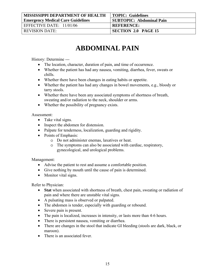| <b>MISSISSIPPI DEPARTMENT OF HEALTH</b>  | <b>TOPIC: Guidelines</b>        |
|------------------------------------------|---------------------------------|
| <b>Emergency Medical Care Guidelines</b> | <b>SUBTOPIC: Abdominal Pain</b> |
| EFFECTIVE DATE: $11/01/06$               | <b>REFERENCE:</b>               |
| REVISION DATE:                           | SECTION 2.0 PAGE 15             |

# **ABDOMINAL PAIN**

History: Determine ---

- The location, character, duration of pain, and time of occurrence.
- Whether the patient has had any nausea, vomiting, diarrhea, fever, sweats or chills.
- Whether there have been changes in eating habits or appetite.
- Whether the patient has had any changes in bowel movements, e.g., bloody or tarry stools.
- Whether there have been any associated symptoms of shortness of breath, sweating and/or radiation to the neck, shoulder or arms.
- Whether the possibility of pregnancy exists.

Assessment:

- Take vital signs.
- Inspect the abdomen for distension.
- Palpate for tenderness, localization, guarding and rigidity.
- Points of Emphasis:
	- o Do not administer enemas, laxatives or heat.
	- o The symptoms can also be associated with cardiac, respiratory, gynecological, and urological problems.

#### Management:

- Advise the patient to rest and assume a comfortable position.
- Give nothing by mouth until the cause of pain is determined.
- Monitor vital signs.

Refer to Physician:

- **Stat** when associated with shortness of breath, chest pain, sweating or radiation of pain and where there are unstable vital signs.
- A pulsating mass is observed or palpated.
- The abdomen is tender, especially with guarding or rebound.
- Severe pain is present.
- The pain is localized, increases in intensity, or lasts more than 4-6 hours.
- There is persistent nausea, vomiting or diarrhea.
- There are changes in the stool that indicate GI bleeding (stools are dark, black, or maroon).
- There is an associated fever.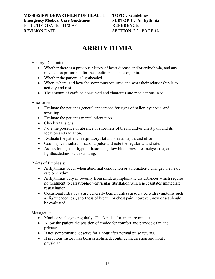| <b>MISSISSIPPI DEPARTMENT OF HEALTH</b>  | <b>TOPIC: Guidelines</b>    |
|------------------------------------------|-----------------------------|
| <b>Emergency Medical Care Guidelines</b> | <b>SUBTOPIC: Arrhythmia</b> |
| EFFECTIVE DATE: $11/01/06$               | <b>REFERENCE:</b>           |
| REVISION DATE:                           | <b>SECTION 2.0 PAGE 16</b>  |

# **ARRHYTHMIA**

History: Determine ---

- Whether there is a previous history of heart disease and/or arrhythmia, and any medication prescribed for the condition, such as digoxin.
- Whether the patient is lightheaded.
- When, where, and how the symptoms occurred and what their relationship is to activity and rest.
- The amount of caffeine consumed and cigarettes and medications used.

Assessment:

- Evaluate the patient's general appearance for signs of pallor, cyanosis, and sweating.
- Evaluate the patient's mental orientation.
- Check vital signs.
- Note the presence or absence of shortness of breath and/or chest pain and its location and radiation.
- Evaluate the patient's respiratory status for rate, depth, and effort.
- Count apical, radial, or carotid pulse and note the regularity and rate.
- Assess for signs of hypoperfusion; e.g. low blood pressure, tachycardia, and lightheadedness with standing.

Points of Emphasis:

- Arrhythmias occur when abnormal conduction or automaticity changes the heart rate or rhythm.
- Arrhythmias vary in severity from mild, asymptomatic disturbances which require no treatment to catastrophic ventricular fibrillation which necessitates immediate resuscitation.
- Occasional extra beats are generally benign unless associated with symptoms such as lightheadedness, shortness of breath, or chest pain; however, new onset should be evaluated.

Management:

- Monitor vital signs regularly. Check pulse for an entire minute.
- Allow the patient the position of choice for comfort and provide calm and privacy.
- If not symptomatic, observe for 1 hour after normal pulse returns.
- If previous history has been established, continue medication and notify physician.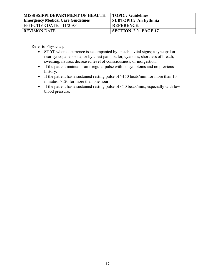| <b>MISSISSIPPI DEPARTMENT OF HEALTH</b>  | <b>TOPIC: Guidelines</b>    |
|------------------------------------------|-----------------------------|
| <b>Emergency Medical Care Guidelines</b> | <b>SUBTOPIC: Arrhythmia</b> |
| EFFECTIVE DATE: $11/01/06$               | <b>REFERENCE:</b>           |
| <b>REVISION DATE:</b>                    | <b>SECTION 2.0 PAGE 17</b>  |

- **STAT** when occurrence is accompanied by unstable vital signs; a syncopal or near syncopal episode; or by chest pain, pallor, cyanosis, shortness of breath, sweating, nausea, decreased level of consciousness, or indigestion.
- If the patient maintains an irregular pulse with no symptoms and no previous history.
- If the patient has a sustained resting pulse of >150 beats/min. for more than 10 minutes; >120 for more than one hour.
- If the patient has a sustained resting pulse of <50 beats/min., especially with low blood pressure.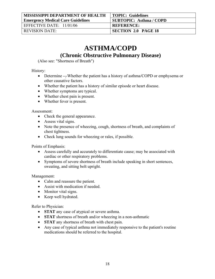| <b>MISSISSIPPI DEPARTMENT OF HEALTH</b>  | <b>TOPIC: Guidelines</b>       |
|------------------------------------------|--------------------------------|
| <b>Emergency Medical Care Guidelines</b> | <b>SUBTOPIC: Asthma / COPD</b> |
| EFFECTIVE DATE: $11/01/06$               | <b>REFERENCE:</b>              |
| REVISION DATE:                           | <b>SECTION 2.0 PAGE 18</b>     |

# **ASTHMA/COPD**

**(Chronic Obstructive Pulmonary Disease)** 

(Also see: "Shortness of Breath")

History:

- Determine ---Whether the patient has a history of asthma/COPD or emphysema or other causative factors.
- Whether the patient has a history of similar episode or heart disease.
- Whether symptoms are typical.
- Whether chest pain is present.
- Whether fever is present.

Assessment:

- Check the general appearance.
- Assess vital signs.
- Note the presence of wheezing, cough, shortness of breath, and complaints of chest tightness.
- Check lung sounds for wheezing or rales, if possible.

Points of Emphasis:

- Assess carefully and accurately to differentiate cause; may be associated with cardiac or other respiratory problems.
- Symptoms of severe shortness of breath include speaking in short sentences, sweating, and sitting bolt upright.

Management:

- Calm and reassure the patient.
- Assist with medication if needed.
- Monitor vital signs.
- Keep well hydrated.

- **STAT** any case of atypical or severe asthma.
- **STAT** shortness of breath and/or wheezing in a non-asthmatic
- **STAT** any shortness of breath with chest pain.
- Any case of typical asthma not immediately responsive to the patient's routine medications should be referred to the hospital.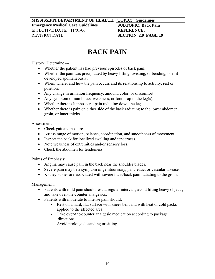| <b>MISSISSIPPI DEPARTMENT OF HEALTH   TOPIC: Guidelines</b> |                            |
|-------------------------------------------------------------|----------------------------|
| <b>Emergency Medical Care Guidelines</b>                    | <b>SUBTOPIC: Back Pain</b> |
| EFFECTIVE DATE: $11/01/06$                                  | <b>REFERENCE:</b>          |
| <b>REVISION DATE:</b>                                       | <b>SECTION 2.0 PAGE 19</b> |

# **BACK PAIN**

History: Determine ---

- Whether the patient has had previous episodes of back pain.
- Whether the pain was precipitated by heavy lifting, twisting, or bending, or if it developed spontaneously.
- When, where, and how the pain occurs and its relationship to activity, rest or position.
- Any change in urination frequency, amount, color, or discomfort.
- Any symptom of numbness, weakness, or foot drop in the leg(s).
- Whether there is lumbosacral pain radiating down the leg.
- Whether there is pain on either side of the back radiating to the lower abdomen, groin, or inner thighs.

Assessment:

- Check gait and posture.
- Assess range of motion, balance, coordination, and smoothness of movement.
- Inspect the back for localized swelling and tenderness.
- Note weakness of extremities and/or sensory loss.
- Check the abdomen for tenderness.

Points of Emphasis:

- Angina may cause pain in the back near the shoulder blades.
- Severe pain may be a symptom of genitourinary, pancreatic, or vascular disease.
- Kidney stones are associated with severe flank/back pain radiating to the groin.

- Patients with mild pain should rest at regular intervals, avoid lifting heavy objects, and take over-the-counter analgesics.
- Patients with moderate to intense pain should:
	- Rest on a hard, flat surface with knees bent and with heat or cold packs applied to the affected area.
	- Take over-the-counter analgesic medication according to package directions.
	- Avoid prolonged standing or sitting.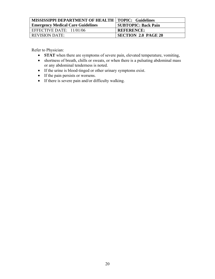| <b>MISSISSIPPI DEPARTMENT OF HEALTH   TOPIC: Guidelines</b> |                            |
|-------------------------------------------------------------|----------------------------|
| <b>Emergency Medical Care Guidelines</b>                    | <b>SUBTOPIC: Back Pain</b> |
| EFFECTIVE DATE: $11/01/06$                                  | <b>REFERENCE:</b>          |
| <b>REVISION DATE:</b>                                       | <b>SECTION 2.0 PAGE 20</b> |

- **STAT** when there are symptoms of severe pain, elevated temperature, vomiting,
- shortness of breath, chills or sweats, or when there is a pulsating abdominal mass or any abdominal tenderness is noted.
- If the urine is blood-tinged or other urinary symptoms exist.
- If the pain persists or worsens.
- If there is severe pain and/or difficulty walking.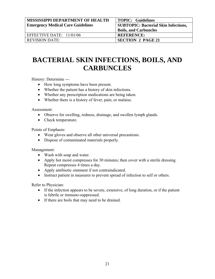| <b>MISSISSIPPI DEPARTMENT OF HEALTH</b><br><b>Emergency Medical Care Guidelines</b> | <b>TOPIC: Guidelines</b><br><b>SUBTOPIC: Bacterial Skin Infections,</b><br><b>Boils, and Carbuncles</b> |
|-------------------------------------------------------------------------------------|---------------------------------------------------------------------------------------------------------|
| EFFECTIVE DATE: 11/01/06                                                            | <b>REFERENCE:</b>                                                                                       |
| <b>REVISION DATE:</b>                                                               | <b>SECTION 2 PAGE 21</b>                                                                                |

# **BACTERIAL SKIN INFECTIONS, BOILS, AND CARBUNCLES**

History: Determine ---

- How long symptoms have been present.
- Whether the patient has a history of skin infections.
- Whether any prescription medications are being taken.
- Whether there is a history of fever, pain, or malaise.

Assessment:

- Observe for swelling, redness, drainage, and swollen lymph glands.
- Check temperature.

Points of Emphasis:

- Wear gloves and observe all other universal precautions.
- Dispose of contaminated materials properly.

Management:

- Wash with soap and water.
- Apply hot moist compresses for 30 minutes; then cover with a sterile dressing. Repeat compresses 4 times a day.
- Apply antibiotic ointment if not contraindicated.
- Instruct patient in measures to prevent spread of infection to self or others.

- If the infection appears to be severe, extensive, of long duration, or if the patient is febrile or immuno-suppressed.
- If there are boils that may need to be drained.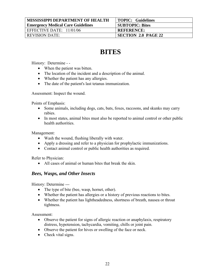| <b>MISSISSIPPI DEPARTMENT OF HEALTH</b>  | <b>TOPIC: Guidelines</b>   |
|------------------------------------------|----------------------------|
| <b>Emergency Medical Care Guidelines</b> | <b>SUBTOPIC: Bites</b>     |
| EFFECTIVE DATE: 11/01/06                 | <b>REFERENCE:</b>          |
| <b>REVISION DATE:</b>                    | <b>SECTION 2.0 PAGE 22</b> |

# **BITES**

History: Determine - -

- When the patient was bitten.
- The location of the incident and a description of the animal.
- Whether the patient has any allergies.
- The date of the patient's last tetanus immunization.

Assessment: Inspect the wound.

Points of Emphasis:

- Some animals, including dogs, cats, bats, foxes, raccoons, and skunks may carry rabies.
- In most states, animal bites must also be reported to animal control or other public health authorities.

Management:

- Wash the wound, flushing liberally with water.
- Apply a dressing and refer to a physician for prophylactic immunizations.
- Contact animal control or public health authorities as required.

Refer to Physician:

• All cases of animal or human bites that break the skin.

### *Bees, Wasps, and Other Insects*

History: Determine ---

- The type of bite (bee, wasp, hornet, other).
- Whether the patient has allergies or a history of previous reactions to bites.
- Whether the patient has lightheadedness, shortness of breath, nausea or throat tightness.

Assessment:

- Observe the patient for signs of allergic reaction or anaphylaxis, respiratory distress, hypotension, tachycardia, vomiting, chills or joint pain.
- Observe the patient for hives or swelling of the face or neck.
- Check vital signs.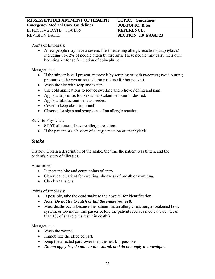| <b>MISSISSIPPI DEPARTMENT OF HEALTH</b>  | <b>TOPIC: Guidelines</b>   |
|------------------------------------------|----------------------------|
| <b>Emergency Medical Care Guidelines</b> | <b>SUBTOPIC: Bites</b>     |
| EFFECTIVE DATE: $11/01/06$               | <b>REFERENCE:</b>          |
| <b>REVISION DATE:</b>                    | <b>SECTION 2.0 PAGE 23</b> |

Points of Emphasis:

• A few people may have a severe, life-threatening allergic reaction (anaphylaxis) including 11-12% of people bitten by fire ants. These people may carry their own bee sting kit for self-injection of epinephrine.

Management:

- If the stinger is still present, remove it by scraping or with tweezers (avoid putting pressure on the venom sac as it may release further poison).
- Wash the site with soap and water.
- Use cold applications to reduce swelling and relieve itching and pain.
- Apply anti-pruritic lotion such as Calamine lotion if desired.
- Apply antibiotic ointment as needed.
- Cover to keep clean (optional).
- Observe for signs and symptoms of an allergic reaction.

Refer to Physician:

- **STAT** all cases of severe allergic reaction.
- If the patient has a history of allergic reaction or anaphylaxis.

### *Snake*

History: Obtain a description of the snake, the time the patient was bitten, and the patient's history of allergies.

Assessment:

- Inspect the bite and count points of entry.
- Observe the patient for swelling, shortness of breath or vomiting.
- Check vital signs.

Points of Emphasis:

- If possible, take the dead snake to the hospital for identification.
- *Note: Do not try to catch or kill the snake yourself.*
- Most deaths occur because the patient has an allergic reaction, a weakened body system, or too much time passes before the patient receives medical care. (Less than 1% of snake bites result in death.)

- Wash the wound.
- Immobilize the affected part.
- Keep the affected part lower than the heart, if possible.
- *Do not apply ice, do not cut the wound, and do not apply a tourniquet.*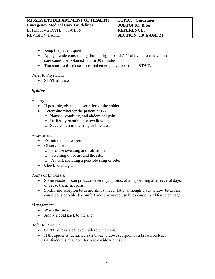| <b>MISSISSIPPI DEPARTMENT OF HEALTH</b>  | TOPIC: Guidelines          |
|------------------------------------------|----------------------------|
| <b>Emergency Medical Care Guidelines</b> | <b>SUBTOPIC: Bites</b>     |
| EFFECTIVE DATE: 11/01/06                 | <b>REFERENCE:</b>          |
| <b>REVISION DATE:</b>                    | <b>SECTION 2.0 PAGE 24</b> |

- Keep the patient quiet.
- Apply a wide constricting, but not tight, band 2-4" above bite if advanced care cannot be obtained within 30 minutes.
- Transport to the closest hospital emergency department **STAT.**

Refer to Physician:

• **STAT** all cases.

## *Spider*

History:

- If possible, obtain a description of the spider.
- Determine whether the patient has
	- o Nausea, vomiting, and abdominal pain.
	- o Difficulty breathing or swallowing.
	- o Severe pain in the sting or bite area.

#### Assessment:

- Examine the bite area.
- Observe for:
	- o Profuse sweating and salivation.
	- o Swelling on or around the site.
	- o A mark indicting a possible sting or bite.
- Check vital signs.

Points of Emphasis:

- Some reactions can produce severe symptoms, often appearing after several days, or cause tissue necrosis.
- Spider and scorpion bites are almost never fatal, although black widow bites can cause considerable discomfort and brown recluse bites cause local tissue damage.

Management:

- Wash the area.
- Apply a cold pack to the site.

- **STAT** all cases of severe allergic reaction.
- If the spider is identified as a black widow, scorpion or a brown recluse. (Antivenin is available for black widow bites).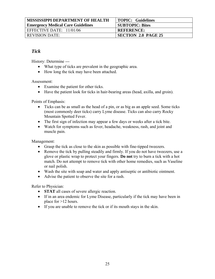| <b>MISSISSIPPI DEPARTMENT OF HEALTH</b>  | <b>TOPIC: Guidelines</b>   |
|------------------------------------------|----------------------------|
| <b>Emergency Medical Care Guidelines</b> | <b>SUBTOPIC: Bites</b>     |
| EFFECTIVE DATE: $11/01/06$               | <b>REFERENCE:</b>          |
| <b>REVISION DATE:</b>                    | <b>SECTION 2.0 PAGE 25</b> |

## *Tick*

History: Determine ---

- What type of ticks are prevalent in the geographic area.
- How long the tick may have been attached.

Assessment:

- Examine the patient for other ticks.
- Have the patient look for ticks in hair-bearing areas (head, axilla, and groin).

Points of Emphasis:

- Ticks can be as small as the head of a pin, or as big as an apple seed. Some ticks (most commonly deer ticks) carry Lyme disease. Ticks can also carry Rocky Mountain Spotted Fever.
- The first sign of infection may appear a few days or weeks after a tick bite.
- Watch for symptoms such as fever, headache, weakness, rash, and joint and muscle pain.

Management:

- Grasp the tick as close to the skin as possible with fine-tipped tweezers.
- Remove the tick by pulling steadily and firmly. If you do not have tweezers, use a glove or plastic wrap to protect your fingers. **Do not** try to burn a tick with a hot match. Do not attempt to remove tick with other home remedies, such as Vaseline or nail polish.
- Wash the site with soap and water and apply antiseptic or antibiotic ointment.
- Advise the patient to observe the site for a rash.

- **STAT** all cases of severe allergic reaction.
- If in an area endemic for Lyme Disease, particularly if the tick may have been in place for >12 hours.
- If you are unable to remove the tick or if its mouth stays in the skin.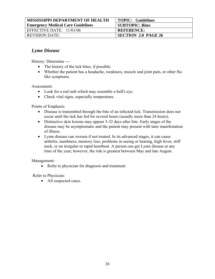| <b>MISSISSIPPI DEPARTMENT OF HEALTH</b>  | <b>TOPIC: Guidelines</b>   |
|------------------------------------------|----------------------------|
| <b>Emergency Medical Care Guidelines</b> | <b>SUBTOPIC: Bites</b>     |
| EFFECTIVE DATE: 11/01/06                 | <b>REFERENCE:</b>          |
| <b>REVISION DATE:</b>                    | <b>SECTION 2.0 PAGE 26</b> |

## *Lyme Disease*

History: Determine ---

- The history of the tick bites, if possible.
- Whether the patient has a headache, weakness, muscle and joint pain, or other flulike symptoms.

Assessment:

- Look for a red rash which may resemble a bull's eye.
- Check vital signs, especially temperature.

Points of Emphasis:

- Disease is transmitted through the bite of an infected tick. Transmission does not occur until the tick has fed for several hours (usually more than 24 hours).
- Distinctive skin lesions may appear 3-32 days after bite. Early stages of the disease may be asymptomatic and the patient may present with later manifestation of illness.
- Lyme disease can worsen if not treated. In its advanced stages, it can cause arthritis, numbness, memory loss, problems in seeing or hearing, high fever, stiff neck, or an irregular or rapid heartbeat. A person can get Lyme disease at any time of the year; however, the risk is greatest between May and late August.

Management:

• Refer to physician for diagnosis and treatment.

Refer to Physician:

• All suspected cases.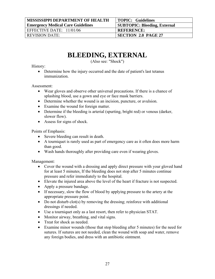# **BLEEDING, EXTERNAL**

(Also see: "Shock")

#### History:

• Determine how the injury occurred and the date of patient's last tetanus immunization.

Assessment:

- Wear gloves and observe other universal precautions. If there is a chance of splashing blood, use a gown and eye or face mask barriers.
- Determine whether the wound is an incision, puncture, or avulsion.
- Examine the wound for foreign matter.
- Determine if the bleeding is arterial (spurting, bright red) or venous (darker, slower flow).
- Assess for signs of shock.

Points of Emphasis:

- Severe bleeding can result in death.
- A tourniquet is rarely used as part of emergency care as it often does more harm than good.
- Wash hands thoroughly after providing care even if wearing gloves.

- Cover the wound with a dressing and apply direct pressure with your gloved hand for at least 5 minutes. If the bleeding does not stop after 5 minutes continue pressure and refer immediately to the hospital.
- Elevate the injured area above the level of the heart if fracture is not suspected.
- Apply a pressure bandage.
- If necessary, slow the flow of blood by applying pressure to the artery at the appropriate pressure point.
- Do not disturb clot(s) by removing the dressing; reinforce with additional dressings if needed.
- Use a tourniquet only as a last resort, then refer to physician STAT.
- Monitor airway, breathing, and vital signs.
- Treat for shock as needed.
- Examine minor wounds (those that stop bleeding after 5 minutes) for the need for sutures. If sutures are not needed, clean the wound with soap and water, remove any foreign bodies, and dress with an antibiotic ointment.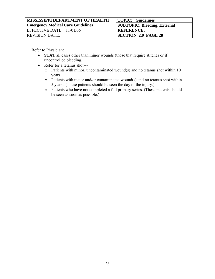| <b>MISSISSIPPI DEPARTMENT OF HEALTH</b>  | TOPIC: Guidelines                   |
|------------------------------------------|-------------------------------------|
| <b>Emergency Medical Care Guidelines</b> | <b>SUBTOPIC: Bleeding, External</b> |
| EFFECTIVE DATE: 11/01/06                 | <b>REFERENCE:</b>                   |
| <b>REVISION DATE:</b>                    | <b>SECTION 2.0 PAGE 28</b>          |

- **STAT** all cases other than minor wounds (those that require stitches or if uncontrolled bleeding).
- Refer for a tetanus shot--
	- o Patients with minor, uncontaminated wound(s) and no tetanus shot within 10 years.
	- o Patients with major and/or contaminated wound(s) and no tetanus shot within 5 years. (These patients should be seen the day of the injury.)
	- o Patients who have not completed a full primary series. (These patients should be seen as soon as possible.)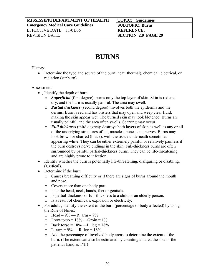| <b>MISSISSIPPI DEPARTMENT OF HEALTH</b>  | <b>TOPIC: Guidelines</b>   |
|------------------------------------------|----------------------------|
| <b>Emergency Medical Care Guidelines</b> | <b>SUBTOPIC: Burns</b>     |
| EFFECTIVE DATE: $11/01/06$               | <b>REFERENCE:</b>          |
| <b>REVISION DATE:</b>                    | <b>SECTION 2.0 PAGE 29</b> |

# **BURNS**

History:

• Determine the type and source of the burn: heat (thermal), chemical, electrical, or radiation (sunburn).

#### Assessment:

- Identify the depth of burn:
	- o *Superficial* (first degree): burns only the top layer of skin. Skin is red and dry, and the burn is usually painful. The area may swell.
	- o *Partial thickness* (second degree): involves both the epidermis and the dermis. Burn is red and has blisters that may open and weep clear fluid, making the skin appear wet. The burned skin may look blotched. Burns are usually painful, and the area often swells. Scarring may occur.
	- o *Full thickness* (third degree): destroys both layers of skin as well as any or all of the underlying structures of fat, muscles, bones, and nerves. Burns may look brown or charred (black), with the tissue underneath sometimes appearing white. They can be either extremely painful or relatively painless if the burn destroys nerve endings in the skin. Full-thickness burns are often surrounded by painful partial-thickness burns. They can be life-threatening, and are highly prone to infection.
- Identify whether the burn is potentially life-threatening, disfiguring or disabling. **(Critical)**.
- Determine if the burn
	- o Causes breathing difficulty or if there are signs of burns around the mouth and nose.
	- o Covers more than one body part.
	- o Is to the head, neck, hands, feet or genitals.
	- o Is partial-thickness or full-thickness to a child or an elderly person.
	- o Is a result of chemicals, explosion or electricity.
- For adults, identify the extent of the burn (percentage of body affected) by using the Rule of Nines:
	- $\circ$  Head = 9% R. arm = 9%
	- $\circ$  Front torso = 18% —Groin = 1%
	- o Back torso =  $18\%$  —L. leg =  $18\%$
	- $\circ$  L. arm = 9% R. leg = 18%
	- o Add the percentage of involved body areas to determine the extent of the burn. (The extent can also be estimated by counting an area the size of the patient's hand as 1%.)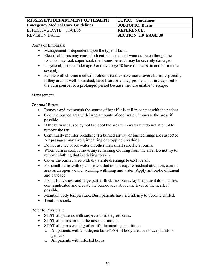| <b>MISSISSIPPI DEPARTMENT OF HEALTH</b>  | <b>TOPIC: Guidelines</b>   |
|------------------------------------------|----------------------------|
| <b>Emergency Medical Care Guidelines</b> | <b>SUBTOPIC: Burns</b>     |
| EFFECTIVE DATE: $11/01/06$               | <b>REFERENCE:</b>          |
| <b>REVISION DATE:</b>                    | <b>SECTION 2.0 PAGE 30</b> |

Points of Emphasis:

- Management is dependent upon the type of burn.
- Electrical burns may cause both entrance and exit wounds. Even though the wounds may look superficial, the tissues beneath may be severely damaged.
- In general, people under age 5 and over age 50 have thinner skin and burn more severely.
- People with chronic medical problems tend to have more severe burns, especially if they are not well-nourished, have heart or kidney problems, or are exposed to the burn source for a prolonged period because they are unable to escape.

#### Management:

#### *Thermal Burns*

- Remove and extinguish the source of heat if it is still in contact with the patient.
- Cool the burned area with large amounts of cool water. Immerse the areas if possible.
- If the burn is caused by hot tar, cool the area with water but do not attempt to remove the tar.
- Continually monitor breathing if a burned airway or burned lungs are suspected. Air passages may swell, impairing or stopping breathing.
- Do not use ice or ice water on other than small superficial burns.
- When burn is cool, remove any remaining clothing from the area. Do not try to remove clothing that is sticking to skin.
- Cover the burned area with dry sterile dressings to exclude air.
- For small burns with open blisters that do not require medical attention, care for area as an open wound, washing with soap and water. Apply antibiotic ointment and bandage.
- For full-thickness and large partial-thickness burns, lay the patient down unless contraindicated and elevate the burned area above the level of the heart, if possible.
- Maintain body temperature. Burn patients have a tendency to become chilled.
- Treat for shock

- **STAT** all patients with suspected 3rd degree burns.
- **STAT** all burns around the nose and mouth.
- **STAT** all burns causing other life-threatening conditions.
	- o All patients with 2nd degree burns >5% of body area or to face, hands or genitals.
	- o All patients with infected burns.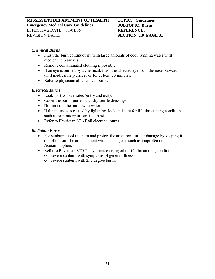| <b>MISSISSIPPI DEPARTMENT OF HEALTH</b>  | TOPIC: Guidelines          |
|------------------------------------------|----------------------------|
| <b>Emergency Medical Care Guidelines</b> | <b>SUBTOPIC: Burns</b>     |
| EFFECTIVE DATE: $11/01/06$               | <b>REFERENCE:</b>          |
| <b>REVISION DATE:</b>                    | <b>SECTION 2.0 PAGE 31</b> |

#### *Chemical Burns*

- Flush the burn continuously with large amounts of cool, running water until medical help arrives.
- Remove contaminated clothing if possible.
- If an eye is burned by a chemical, flush the affected eye from the nose outward until medical help arrives or for at least 20 minutes.
- Refer to physician all chemical burns.

#### *Electrical Burns*

- Look for two burn sites (entry and exit).
- Cover the burn injuries with dry sterile dressings.
- **Do not** cool the burns with water.
- If the injury was caused by lightning, look and care for life-threatening conditions such as respiratory or cardiac arrest.
- Refer to Physician STAT all electrical burns.

#### *Radiation Burns*

- For sunburn, cool the burn and protect the area from further damage by keeping it out of the sun. Treat the patient with an analgesic such as ibuprofen or Acetaminophen.
- Refer to Physician **STAT** any burns causing other life-threatening conditions. o Severe sunburn with symptoms of general illness.
	- o Severe sunburn with 2nd degree burns.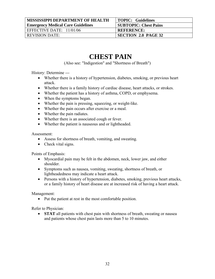| <b>MISSISSIPPI DEPARTMENT OF HEALTH</b>  | <b>TOPIC: Guidelines</b>     |
|------------------------------------------|------------------------------|
| <b>Emergency Medical Care Guidelines</b> | <b>SUBTOPIC: Chest Pains</b> |
| EFFECTIVE DATE: $11/01/06$               | <b>REFERENCE:</b>            |
| <b>REVISION DATE:</b>                    | <b>SECTION 2.0 PAGE 32</b>   |

# **CHEST PAIN**

(Also see: "Indigestion" and "Shortness of Breath")

History: Determine ---

- Whether there is a history of hypertension, diabetes, smoking, or previous heart attack.
- Whether there is a family history of cardiac disease, heart attacks, or strokes.
- Whether the patient has a history of asthma, COPD, or emphysema.
- When the symptoms began.
- Whether the pain is pressing, squeezing, or weight-like.
- Whether the pain occurs after exercise or a meal.
- Whether the pain radiates.
- Whether there is an associated cough or fever.
- Whether the patient is nauseous and or lightheaded.

Assessment:

- Assess for shortness of breath, vomiting, and sweating.
- Check vital signs.

Points of Emphasis:

- Myocardial pain may be felt in the abdomen, neck, lower jaw, and either shoulder.
- Symptoms such as nausea, vomiting, sweating, shortness of breath, or lightheadedness may indicate a heart attack.
- Persons with a history of hypertension, diabetes, smoking, previous heart attacks, or a family history of heart disease are at increased risk of having a heart attack.

Management:

• Put the patient at rest in the most comfortable position.

Refer to Physician:

• **STAT** all patients with chest pain with shortness of breath, sweating or nausea and patients whose chest pain lasts more than 5 to 10 minutes.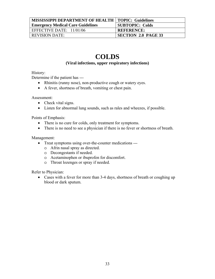| <b>MISSISSIPPI DEPARTMENT OF HEALTH   TOPIC: Guidelines</b> |                        |
|-------------------------------------------------------------|------------------------|
| <b>Emergency Medical Care Guidelines</b>                    | <b>SUBTOPIC: Colds</b> |
| EFFECTIVE DATE: $11/01/06$                                  | <b>REFERENCE:</b>      |
| <b>REVISION DATE:</b>                                       | SECTION 2.0 PAGE 33    |

# **COLDS**

#### **(Viral infections, upper respiratory infections)**

History:

Determine if the patient has ---

- Rhinitis (runny nose), non-productive cough or watery eyes.
- A fever, shortness of breath, vomiting or chest pain.

Assessment:

- Check vital signs.
- Listen for abnormal lung sounds, such as rales and wheezes, if possible.

Points of Emphasis:

- There is no cure for colds, only treatment for symptoms.
- There is no need to see a physician if there is no fever or shortness of breath.

Management:

- Treat symptoms using over-the-counter medications --
	- o Afrin nasal spray as directed.
	- o Decongestants if needed.
	- o Acetaminophen or ibuprofen for discomfort.
	- o Throat lozenges or spray if needed.

Refer to Physician:

• Cases with a fever for more than 3-4 days, shortness of breath or coughing up blood or dark sputum.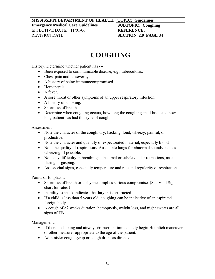| <b>MISSISSIPPI DEPARTMENT OF HEALTH   TOPIC: Guidelines</b> |                            |
|-------------------------------------------------------------|----------------------------|
| <b>Emergency Medical Care Guidelines</b>                    | <b>SUBTOPIC: Coughing</b>  |
| EFFECTIVE DATE: $11/01/06$                                  | <b>REFERENCE:</b>          |
| REVISION DATE:                                              | <b>SECTION 2.0 PAGE 34</b> |

# **COUGHING**

History: Determine whether patient has ---

- Been exposed to communicable disease; e.g., tuberculosis.
- Chest pain and its severity.
- A history of being immunocompromised.
- Hemoptysis.
- A fever.
- A sore throat or other symptoms of an upper respiratory infection.
- A history of smoking.
- Shortness of breath.
- Determine when coughing occurs, how long the coughing spell lasts, and how long patient has had this type of cough.

Assessment:

- Note the character of the cough: dry, hacking, loud, wheezy, painful, or productive.
- Note the character and quantity of expectorated material, especially blood.
- Note the quality of respirations. Auscultate lungs for abnormal sounds such as wheezing, if possible.
- Note any difficulty in breathing: substernal or subclavicular retractions, nasal flaring or gasping.
- Assess vital signs, especially temperature and rate and regularity of respirations.

Points of Emphasis:

- Shortness of breath or tachypnea implies serious compromise. (See Vital Signs chart for rates.)
- Inability to speak indicates that larynx is obstructed.
- If a child is less than 5 years old, coughing can be indicative of an aspirated foreign body.
- A cough of  $>2$  weeks duration, hemoptysis, weight loss, and night sweats are all signs of TB.

- If there is choking and airway obstruction, immediately begin Heimlich maneuver or other measures appropriate to the age of the patient.
- Administer cough syrup or cough drops as directed.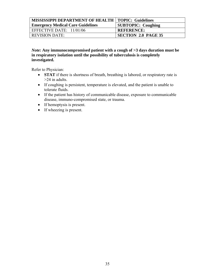| MISSISSIPPI DEPARTMENT OF HEALTH   TOPIC: Guidelines |                            |
|------------------------------------------------------|----------------------------|
| Emergency Medical Care Guidelines                    | <b>SUBTOPIC: Coughing</b>  |
| EFFECTIVE DATE: $11/01/06$                           | <b>REFERENCE:</b>          |
| REVISION DATE:                                       | <b>SECTION 2.0 PAGE 35</b> |

#### *Note:* **Any immunocompromised patient with a cough of >3 days duration must be in respiratory isolation until the possibility of tuberculosis is completely investigated.**

- **STAT** if there is shortness of breath, breathing is labored, or respiratory rate is >24 in adults.
- If coughing is persistent, temperature is elevated, and the patient is unable to tolerate fluids.
- If the patient has history of communicable disease, exposure to communicable disease, immuno-compromised state, or trauma.
- If hemoptysis is present.
- If wheezing is present.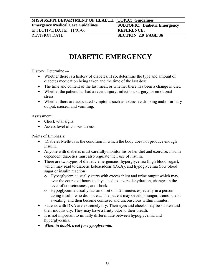| <b>MISSISSIPPI DEPARTMENT OF HEALTH   TOPIC: Guidelines</b> |                                     |
|-------------------------------------------------------------|-------------------------------------|
| <b>Emergency Medical Care Guidelines</b>                    | <b>SUBTOPIC: Diabetic Emergency</b> |
| EFFECTIVE DATE: $11/01/06$                                  | <b>REFERENCE:</b>                   |
| <b>REVISION DATE:</b>                                       | <b>SECTION 2.0 PAGE 36</b>          |

# **DIABETIC EMERGENCY**

History: Determine ---

- Whether there is a history of diabetes. If so, determine the type and amount of diabetes medication being taken and the time of the last dose.
- The time and content of the last meal, or whether there has been a change in diet.
- Whether the patient has had a recent injury, infection, surgery, or emotional stress.
- Whether there are associated symptoms such as excessive drinking and/or urinary output, nausea, and vomiting.

Assessment:

- Check vital signs.
- Assess level of consciousness.

Points of Emphasis:

- Diabetes Mellitus is the condition in which the body does not produce enough insulin.
- Anyone with diabetes must carefully monitor his or her diet and exercise. Insulin dependent diabetics must also regulate their use of insulin.
- There are two types of diabetic emergencies: hyperglycemia (high blood sugar), which may read to diabetic ketoacidosis (DKA), and hypoglycemia (low blood sugar or insulin reaction).
	- o Hyperglycemia usually starts with excess thirst and urine output which may, over the course of hours to days, lead to severe dehydration, changes in the level of consciousness, and shock.
	- o Hypoglycemia usually has an onset of 1-2 minutes especially in a person taking insulin who did not eat. The patient may develop hunger, tremors, and sweating, and then become confused and unconscious within minutes.
- Patients with DKA are extremely dry. Their eyes and cheeks may be sunken and their mouths dry. They may have a fruity odor to their breath.
- It is not important to initially differentiate between hypoglycemia and hyperglycemia.
- *When in doubt, treat for hypoglycemia.*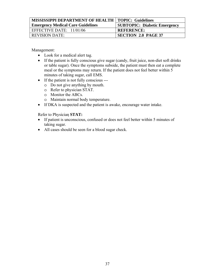| <b>MISSISSIPPI DEPARTMENT OF HEALTH   TOPIC: Guidelines</b> |                                     |
|-------------------------------------------------------------|-------------------------------------|
| <b>Emergency Medical Care Guidelines</b>                    | <b>SUBTOPIC: Diabetic Emergency</b> |
| EFFECTIVE DATE: $11/01/06$                                  | <b>REFERENCE:</b>                   |
| <b>REVISION DATE:</b>                                       | <b>SECTION 2.0 PAGE 37</b>          |

Management:

- Look for a medical alert tag.
- If the patient is fully conscious give sugar (candy, fruit juice, non-diet soft drinks or table sugar). Once the symptoms subside, the patient must then eat a complete meal or the symptoms may return. If the patient does not feel better within 5 minutes of taking sugar, call EMS.
- If the patient is not fully conscious --
	- o Do not give anything by mouth.
	- o Refer to physician STAT.
	- o Monitor the ABCs.
	- o Maintain normal body temperature.
- If DKA is suspected and the patient is awake, encourage water intake.

Refer to Physician **STAT:** 

- If patient is unconscious, confused or does not feel better within 5 minutes of taking sugar.
- All cases should be seen for a blood sugar check.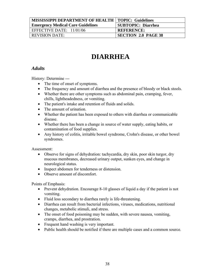| <b>MISSISSIPPI DEPARTMENT OF HEALTH   TOPIC: Guidelines</b> |                            |
|-------------------------------------------------------------|----------------------------|
| <b>Emergency Medical Care Guidelines</b>                    | <b>SUBTOPIC: Diarrhea</b>  |
| EFFECTIVE DATE: $11/01/06$                                  | <b>REFERENCE:</b>          |
| <b>REVISION DATE:</b>                                       | <b>SECTION 2.0 PAGE 38</b> |

# **DIARRHEA**

## *Adults*

History: Determine ---

- The time of onset of symptoms.
- The frequency and amount of diarrhea and the presence of bloody or black stools.
- Whether there are other symptoms such as abdominal pain, cramping, fever, chills, lightheadedness, or vomiting.
- The patient's intake and retention of fluids and solids.
- The amount of urination.
- Whether the patient has been exposed to others with diarrhea or communicable disease.
- Whether there has been a change in source of water supply, eating habits, or contamination of food supplies.
- Any history of colitis, irritable bowel syndrome, Crohn's disease, or other bowel syndromes.

Assessment:

- Observe for signs of dehydration: tachycardia, dry skin, poor skin turgor, dry mucous membranes, decreased urinary output, sunken eyes, and change in neurological status.
- Inspect abdomen for tenderness or distension.
- Observe amount of discomfort.

Points of Emphasis:

- Prevent dehydration. Encourage 8-10 glasses of liquid a day if the patient is not vomiting.
- Fluid loss secondary to diarrhea rarely is life-threatening.
- Diarrhea can result from bacterial infections, viruses, medications, nutritional changes, metabolic stimuli, and stress.
- The onset of food poisoning may be sudden, with severe nausea, vomiting, cramps, diarrhea, and prostration.
- Frequent hand washing is very important.
- Public health should be notified if there are multiple cases and a common source.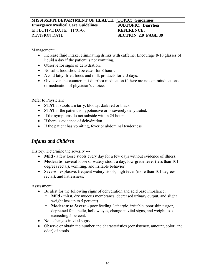| <b>MISSISSIPPI DEPARTMENT OF HEALTH   TOPIC: Guidelines</b> |                            |
|-------------------------------------------------------------|----------------------------|
| <b>Emergency Medical Care Guidelines</b>                    | SUBTOPIC: Diarrhea         |
| EFFECTIVE DATE: $11/01/06$                                  | <b>REFERENCE:</b>          |
| <b>REVISION DATE:</b>                                       | <b>SECTION 2.0 PAGE 39</b> |

Management:

- Increase fluid intake, eliminating drinks with caffeine. Encourage 8-10 glasses of liquid a day if the patient is not vomiting.
- Observe for signs of dehydration.
- No solid food should be eaten for 8 hours.
- Avoid fatty, fried foods and milk products for 2-3 days.
- Give over-the-counter anti-diarrhea medication if there are no contraindications, or medication of physician's choice.

Refer to Physician:

- **STAT** if stools are tarry, bloody, dark red or black.
- **STAT** if the patient is hypotensive or is severely dehydrated.
- If the symptoms do not subside within 24 hours.
- If there is evidence of dehydration.
- If the patient has vomiting, fever or abdominal tenderness

## *Infants and Children*

History: Determine the severity ---

- **Mild** a few loose stools every day for a few days without evidence of illness.
- **Moderate** several loose or watery stools a day, low-grade fever (less than 101) degrees rectal), vomiting, and irritable behavior.
- **Severe** explosive, frequent watery stools, high fever (more than 101 degrees rectal), and listlessness.

Assessment:

- Be alert for the following signs of dehydration and acid base imbalance:
	- o **Mild**  thirst, dry mucous membranes, decreased urinary output, and slight weight loss up to 5 percent).
	- o **Moderate to Severe -** poor feeding, lethargic, irritable, poor skin turgor, depressed fontanelle, hollow eyes, change in vital signs, and weight loss exceeding 5 percent.
- Note changes in vital signs.
- Observe or obtain the number and characteristics (consistency, amount, color, and odor) of stools.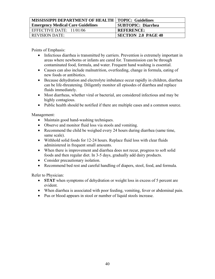| <b>MISSISSIPPI DEPARTMENT OF HEALTH   TOPIC: Guidelines</b> |                            |
|-------------------------------------------------------------|----------------------------|
| Emergency Medical Care Guidelines                           | <b>SUBTOPIC: Diarrhea</b>  |
| EFFECTIVE DATE: $11/01/06$                                  | <b>REFERENCE:</b>          |
| <b>REVISION DATE:</b>                                       | <b>SECTION 2.0 PAGE 40</b> |

Points of Emphasis:

- Infectious diarrhea is transmitted by carriers. Prevention is extremely important in areas where newborns or infants are cared for. Transmission can be through contaminated food, formula, and water. Frequent hand washing is essential.
- Causes can also include malnutrition, overfeeding, change in formula, eating of new foods or antibiotics.
- Because dehydration and electrolyte imbalance occur rapidly in children, diarrhea can be life-threatening. Diligently monitor all episodes of diarrhea and replace fluids immediately.
- Most diarrheas, whether viral or bacterial, are considered infectious and may be highly contagious.
- Public health should be notified if there are multiple cases and a common source.

Management:

- Maintain good hand-washing techniques.
- Observe and monitor fluid loss via stools and vomiting.
- Recommend the child be weighed every 24 hours during diarrhea (same time, same scale).
- Withhold solid foods for 12-24 hours. Replace fluid loss with clear fluids administered in frequent small amounts.
- When there is improvement and diarrhea does not recur, progress to soft solid foods and then regular diet. In 3-5 days, gradually add dairy products.
- Consider precautionary isolation.
- Recommend bed rest and careful handling of diapers, stool, food, and formula.

- **STAT** when symptoms of dehydration or weight loss in excess of 5 percent are evident.
- When diarrhea is associated with poor feeding, vomiting, fever or abdominal pain.
- Pus or blood appears in stool or number of liquid stools increase.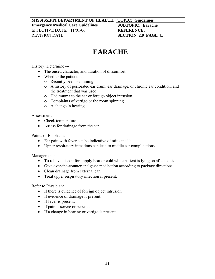| MISSISSIPPI DEPARTMENT OF HEALTH   TOPIC: Guidelines |                            |
|------------------------------------------------------|----------------------------|
| <b>Emergency Medical Care Guidelines</b>             | <b>SUBTOPIC: Earache</b>   |
| EFFECTIVE DATE: $11/01/06$                           | <b>REFERENCE:</b>          |
| <b>REVISION DATE:</b>                                | <b>SECTION 2.0 PAGE 41</b> |

# **EARACHE**

History: Determine ---

- The onset, character, and duration of discomfort.
- Whether the patient has --
	- o Recently been swimming.
	- o A history of perforated ear drum, ear drainage, or chronic ear condition, and the treatment that was used.
	- o Had trauma to the ear or foreign object intrusion.
	- o Complaints of vertigo or the room spinning.
	- o A change in hearing.

Assessment:

- Check temperature.
- Assess for drainage from the ear.

Points of Emphasis:

- Ear pain with fever can be indicative of otitis media.
- Upper respiratory infections can lead to middle ear complications.

Management:

- To relieve discomfort, apply heat or cold while patient is lying on affected side.
- Give over-the-counter analgesic medication according to package directions.
- Clean drainage from external ear.
- Treat upper respiratory infection if present.

- If there is evidence of foreign object intrusion.
- If evidence of drainage is present.
- If fever is present.
- If pain is severe or persists.
- If a change in hearing or vertigo is present.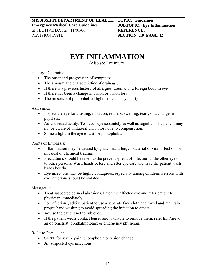| <b>MISSISSIPPI DEPARTMENT OF HEALTH   TOPIC: Guidelines</b> |                                   |
|-------------------------------------------------------------|-----------------------------------|
| <b>Emergency Medical Care Guidelines</b>                    | <b>SUBTOPIC: Eye Inflammation</b> |
| EFFECTIVE DATE: $11/01/06$                                  | <b>REFERENCE:</b>                 |
| <b>REVISION DATE:</b>                                       | <b>SECTION 2.0 PAGE 42</b>        |

# **EYE INFLAMMATION**

(Also see Eye Injury)

History: Determine ---

- The onset and progression of symptoms.
- The amount and characteristics of drainage.
- If there is a previous history of allergies, trauma, or a foreign body in eye.
- If there has been a change in vision or vision loss.
- The presence of photophobia (light makes the eye hurt).

Assessment:

- Inspect the eye for crusting, irritation, redness, swelling, tears, or a change in pupil size.
- Assess visual acuity. Test each eye separately as well as together. The patient may not be aware of unilateral vision loss due to compensation.
- Shine a light in the eye to test for photophobia.

Points of Emphasis:

- Inflammation may be caused by glaucoma, allergy, bacterial or viral infection, or physical or chemical trauma.
- Precautions should be taken to the prevent spread of infection to the other eye or to other persons. Wash hands before and after eye care and have the patient wash hands hourly.
- Eye infections may be highly contagious, especially among children. Persons with eye infections should be isolated.

Management:

- Treat suspected corneal abrasions. Patch the affected eye and refer patient to physician immediately.
- For infections, advise patient to use a separate face cloth and towel and maintain proper hand washing to avoid spreading the infection to others.
- Advise the patient not to rub eyes.
- If the patient wears contact lenses and is unable to remove them, refer him/her to an optometrist, ophthalmologist or emergency physician.

- **STAT** for severe pain, photophobia or vision change.
- All suspected eye infections.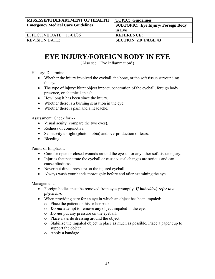| <b>MISSISSIPPI DEPARTMENT OF HEALTH</b>  | <b>TOPIC: Guidelines</b>                 |
|------------------------------------------|------------------------------------------|
| <b>Emergency Medical Care Guidelines</b> | <b>SUBTOPIC: Eye Injury/Foreign Body</b> |
|                                          | ' in Eye                                 |
| EFFECTIVE DATE: 11/01/06                 | <b>REFERENCE:</b>                        |
| <b>REVISION DATE:</b>                    | <b>SECTION 2.0 PAGE 43</b>               |

## **EYE INJURY/FOREIGN BODY IN EYE**

(Also see: "Eye Inflammation")

History: Determine -

- Whether the injury involved the eyeball, the bone, or the soft tissue surrounding the eye.
- The type of injury: blunt object impact, penetration of the eyeball, foreign body presence, or chemical splash.
- How long it has been since the injury.
- Whether there is a burning sensation in the eye.
- Whether there is pain and a headache.

Assessment: Check for - -

- Visual acuity (compare the two eyes).
- Redness of conjunctiva.
- Sensitivity to light (photophobia) and overproduction of tears.
- Bleeding.

Points of Emphasis:

- Care for open or closed wounds around the eye as for any other soft tissue injury.
- Injuries that penetrate the eyeball or cause visual changes are serious and can cause blindness.
- Never put direct pressure on the injured eyeball.
- Always wash your hands thoroughly before and after examining the eye.

- Foreign bodies must be removed from eyes promptly. *If imbedded, refer to a physician.*
- When providing care for an eye in which an object has been impaled:
	- o Place the patient on his or her back.
	- o *Do not* attempt to remove any object impaled in the eye.
	- o *Do not* put any pressure on the eyeball.
	- o Place a sterile dressing around the object.
	- o Stabilize the impaled object in place as much as possible. Place a paper cup to support the object.
	- o Apply a bandage.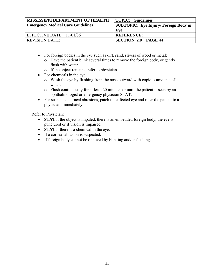| <b>MISSISSIPPI DEPARTMENT OF HEALTH</b>  | <b>TOPIC: Guidelines</b>              |
|------------------------------------------|---------------------------------------|
| <b>Emergency Medical Care Guidelines</b> | SUBTOPIC: Eye Injury/ Foreign Body in |
|                                          | Eve                                   |
| EFFECTIVE DATE: 11/01/06                 | <b>REFERENCE:</b>                     |
| <b>REVISION DATE:</b>                    | <b>SECTION 2.0 PAGE 44</b>            |

- For foreign bodies in the eye such as dirt, sand, slivers of wood or metal:
	- o Have the patient blink several times to remove the foreign body, or gently flush with water.
	- o If the object remains, refer to physician.
- For chemicals in the eye:
	- o Wash the eye by flushing from the nose outward with copious amounts of water
	- o Flush continuously for at least 20 minutes or until the patient is seen by an ophthalmologist or emergency physician STAT.
- For suspected corneal abrasions, patch the affected eye and refer the patient to a physician immediately.

- **STAT** if the object is impaled, there is an embedded foreign body, the eye is punctured or if vision is impaired.
- **STAT** if there is a chemical in the eye.
- If a corneal abrasion is suspected.
- If foreign body cannot be removed by blinking and/or flushing.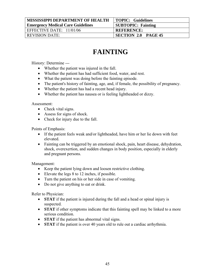| <b>MISSISSIPPI DEPARTMENT OF HEALTH</b>  | <b>TOPIC: Guidelines</b>   |
|------------------------------------------|----------------------------|
| <b>Emergency Medical Care Guidelines</b> | <b>SUBTOPIC: Fainting</b>  |
| EFFECTIVE DATE: 11/01/06                 | <b>REFERENCE:</b>          |
| <b>REVISION DATE:</b>                    | <b>SECTION 2.0 PAGE 45</b> |

# **FAINTING**

History: Determine ---

- Whether the patient was injured in the fall.
- Whether the patient has had sufficient food, water, and rest.
- What the patient was doing before the fainting episode.
- The patient's history of fainting, age, and, if female, the possibility of pregnancy.
- Whether the patient has had a recent head injury.
- Whether the patient has nausea or is feeling lightheaded or dizzy.

Assessment:

- Check vital signs.
- Assess for signs of shock.
- Check for injury due to the fall.

Points of Emphasis:

- If the patient feels weak and/or lightheaded, have him or her lie down with feet elevated.
- Fainting can be triggered by an emotional shock, pain, heart disease, dehydration, shock, overexertion, and sudden changes in body position, especially in elderly and pregnant persons.

Management:

- Keep the patient lying down and loosen restrictive clothing.
- Elevate the legs 8 to 12 inches, if possible.
- Turn the patient on his or her side in case of vomiting.
- Do not give anything to eat or drink.

- **STAT** if the patient is injured during the fall and a head or spinal injury is suspected.
- **STAT** if other symptoms indicate that this fainting spell may be linked to a more serious condition.
- **STAT** if the patient has abnormal vital signs.
- **STAT** if the patient is over 40 years old to rule out a cardiac arrhythmia.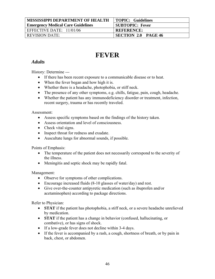| <b>MISSISSIPPI DEPARTMENT OF HEALTH</b>  | <b>TOPIC: Guidelines</b>   |
|------------------------------------------|----------------------------|
| <b>Emergency Medical Care Guidelines</b> | <b>SUBTOPIC: Fever</b>     |
| EFFECTIVE DATE: $11/01/06$               | <b>REFERENCE:</b>          |
| <b>REVISION DATE:</b>                    | <b>SECTION 2.0 PAGE 46</b> |

# **FEVER**

## *Adults*

History: Determine ---

- If there has been recent exposure to a communicable disease or to heat.
- When the fever began and how high it is.
- Whether there is a headache, photophobia, or stiff neck.
- The presence of any other symptoms, e.g. chills, fatigue, pain, cough, headache.
- Whether the patient has any immunodeficiency disorder or treatment, infection, recent surgery, trauma or has recently traveled.

#### Assessment:

- Assess specific symptoms based on the findings of the history taken.
- Assess orientation and level of consciousness.
- Check vital signs.
- Inspect throat for redness and exudate.
- Auscultate lungs for abnormal sounds, if possible.

Points of Emphasis:

- The temperature of the patient does not necessarily correspond to the severity of the illness.
- Meningitis and septic shock may be rapidly fatal.

#### Management:

- Observe for symptoms of other complications.
- Encourage increased fluids (8-10 glasses of water/day) and rest.
- Give over-the-counter antipyretic medication (such as ibuprofen and/or acetaminophen) according to package directions.

- **STAT** if the patient has photophobia, a stiff neck, or a severe headache unrelieved by medication.
- **STAT** if the patient has a change in behavior (confused, hallucinating, or combative), or has signs of shock.
- If a low-grade fever does not decline within 3-4 days.
- If the fever is accompanied by a rash, a cough, shortness of breath, or by pain in back, chest, or abdomen.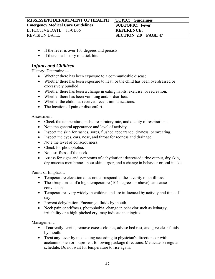| <b>MISSISSIPPI DEPARTMENT OF HEALTH</b>  | <b>TOPIC: Guidelines</b>   |
|------------------------------------------|----------------------------|
| <b>Emergency Medical Care Guidelines</b> | <b>SUBTOPIC: Fever</b>     |
| EFFECTIVE DATE: $11/01/06$               | <b>REFERENCE:</b>          |
| <b>REVISION DATE:</b>                    | <b>SECTION 2.0 PAGE 47</b> |

- If the fever is over 103 degrees and persists.
- If there is a history of a tick bite.

### *Infants and Children*

History: Determine ---

- Whether there has been exposure to a communicable disease.
- Whether there has been exposure to heat, or the child has been overdressed or excessively bundled.
- Whether there has been a change in eating habits, exercise, or recreation.
- Whether there has been vomiting and/or diarrhea.
- Whether the child has received recent immunizations.
- The location of pain or discomfort.

Assessment:

- Check the temperature, pulse, respiratory rate, and quality of respirations.
- Note the general appearance and level of activity.
- Inspect the skin for rashes, sores, flushed appearance, dryness, or sweating.
- Inspect the eyes, ears, nose, and throat for redness and drainage.
- Note the level of consciousness.
- Check for photophobia.
- Note stiffness of the neck.
- Assess for signs and symptoms of dehydration: decreased urine output, dry skin, dry mucous membranes, poor skin turgor, and a change in behavior or oral intake.

Points of Emphasis:

- Temperature elevation does not correspond to the severity of an illness.
- The abrupt onset of a high temperature (104 degrees or above) can cause convulsions.
- Temperatures vary widely in children and are influenced by activity and time of day.
- Prevent dehydration. Encourage fluids by mouth.
- Neck pain or stiffness, photophobia, change in behavior such as lethargy, irritability or a high-pitched cry, may indicate meningitis.

- If currently febrile, remove excess clothes, advise bed rest, and give clear fluids by mouth.
- Treat any fever by medicating according to physician's directions or with acetaminophen or ibuprofen, following package directions. Medicate on regular schedule. Do not wait for temperature to rise again.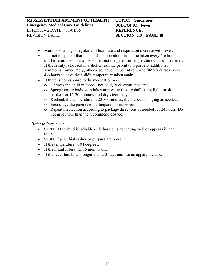| <b>MISSISSIPPI DEPARTMENT OF HEALTH</b>  | <b>TOPIC: Guidelines</b>   |
|------------------------------------------|----------------------------|
| <b>Emergency Medical Care Guidelines</b> | <b>SUBTOPIC: Fever</b>     |
| EFFECTIVE DATE: $11/01/06$               | <b>REFERENCE:</b>          |
| <b>REVISION DATE:</b>                    | <b>SECTION 2.0 PAGE 48</b> |

- Monitor vital signs regularly. (Heart rate and respiration increase with fever.)
- Instruct the parent that the child's temperature should be taken every 4-6 hours until it returns to normal. Also instruct the parent in temperature control measures. If the family is housed in a shelter, ask the parent to report any additional symptoms immediately; otherwise, have the parent return to SMNS nurses every 4-6 hours to have the child's temperature taken again.
- If there is no response to the medication --
	- o Undress the child in a cool (not cold), well-ventilated area.
	- o Sponge entire body with lukewarm water (no alcohol) using light, brisk strokes for 15-20 minutes, and dry vigorously.
	- o Recheck the temperature in 20-30 minutes, then repeat sponging as needed.
	- o Encourage the parents to participate in this process.
	- o Repeat medication according to package directions as needed for 24 hours. Do not give more than the recommend dosage.

- **STAT** If the child is irritable or lethargic, is not eating well or appears ill and toxic.
- **STAT** if petechial rashes or purpura are present.
- If the temperature >104 degrees.
- If the infant is less than 6 months old.
- If the fever has lasted longer than 2-3 days and has no apparent cause.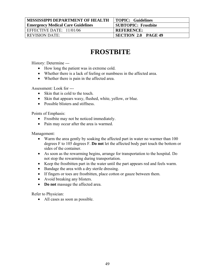| <b>MISSISSIPPI DEPARTMENT OF HEALTH</b>  | <b>TOPIC: Guidelines</b>   |
|------------------------------------------|----------------------------|
| <b>Emergency Medical Care Guidelines</b> | <b>SUBTOPIC: Frostbite</b> |
| EFFECTIVE DATE: $11/01/06$               | <b>REFERENCE:</b>          |
| <b>REVISION DATE:</b>                    | <b>SECTION 2.0 PAGE 49</b> |

# **FROSTBITE**

History: Determine ---

- How long the patient was in extreme cold.
- Whether there is a lack of feeling or numbness in the affected area.
- Whether there is pain in the affected area.

Assessment: Look for ---

- Skin that is cold to the touch.
- Skin that appears waxy, flushed, white, yellow, or blue.
- Possible blisters and stiffness

Points of Emphasis:

- Frostbite may not be noticed immediately.
- Pain may occur after the area is warmed.

Management:

- Warm the area gently by soaking the affected part in water no warmer than 100 degrees F to 105 degrees F. **Do not** let the affected body part touch the bottom or sides of the container.
- As soon as the rewarming begins, arrange for transportation to the hospital. Do not stop the rewarming during transportation.
- Keep the frostbitten part in the water until the part appears red and feels warm.
- Bandage the area with a dry sterile dressing.
- If fingers or toes are frostbitten, place cotton or gauze between them.
- Avoid breaking any blisters.
- **Do not** massage the affected area.

Refer to Physician:

• All cases as soon as possible.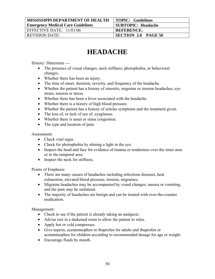| <b>MISSISSIPPI DEPARTMENT OF HEALTH</b>  | <b>TOPIC: Guidelines</b>   |
|------------------------------------------|----------------------------|
| <b>Emergency Medical Care Guidelines</b> | <b>SUBTOPIC: Headache</b>  |
| EFFECTIVE DATE: $11/01/06$               | <b>REFERENCE:</b>          |
| <b>REVISION DATE:</b>                    | <b>SECTION 2.0 PAGE 50</b> |

# **HEADACHE**

History: Determine ---

- The presence of visual changes, neck stiffness, photophobia, or behavioral changes.
- Whether there has been an injury.
- The time of onset, duration, severity, and frequency of the headache.
- Whether the patient has a history of sinusitis, migraine or tension headaches, eye strain, tension or stress.
- Whether there has been a fever associated with the headache.
- Whether there is a history of high blood pressure.
- Whether the patient has a history of similar symptoms and the treatment given.
- The loss of, or lack of use of, eyeglasses.
- Whether there is nasal or sinus congestion.
- The type and location of pain.

Assessment:

- Check vital signs.
- Check for photophobia by shining a light in the eye.
- Inspect the head and face for evidence of trauma or tenderness over the sinus area or in the temporal area.
- Inspect the neck for stiffness.

Points of Emphasis:

- There are many causes of headaches including infectious diseases, heat exhaustion, elevated blood pressure, tension, migraines.
- Migraine headaches may be accompanied by visual changes, nausea or vomiting, and the pain may be unilateral.
- The majority of headaches are benign and can be treated with over-the-counter medication.

- Check to see if the patient is already taking an analgesic.
- Advise rest in a darkened room to allow the patient to relax.
- Apply hot or cold compresses.
- Give aspirin, acetaminophen or ibuprofen for adults and ibuprofen or acetaminophen for children according to recommended dosage for age or weight.
- Encourage fluids by mouth.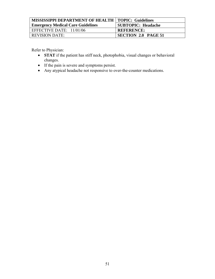| <b>MISSISSIPPI DEPARTMENT OF HEALTH   TOPIC: Guidelines</b> |                            |
|-------------------------------------------------------------|----------------------------|
| <b>Emergency Medical Care Guidelines</b>                    | <b>SUBTOPIC: Headache</b>  |
| EFFECTIVE DATE: $11/01/06$                                  | <b>REFERENCE:</b>          |
| <b>REVISION DATE:</b>                                       | <b>SECTION 2.0 PAGE 51</b> |

- **STAT** if the patient has stiff neck, photophobia, visual changes or behavioral changes.
- If the pain is severe and symptoms persist.
- Any atypical headache not responsive to over-the-counter medications.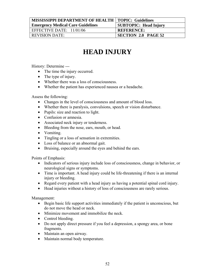| <b>MISSISSIPPI DEPARTMENT OF HEALTH   TOPIC: Guidelines</b> |                              |
|-------------------------------------------------------------|------------------------------|
| <b>Emergency Medical Care Guidelines</b>                    | <b>SUBTOPIC: Head Injury</b> |
| EFFECTIVE DATE: 11/01/06                                    | <b>REFERENCE:</b>            |
| <b>REVISION DATE:</b>                                       | <b>SECTION 2.0 PAGE 52</b>   |

# **HEAD INJURY**

History: Determine ---

- The time the injury occurred.
- The type of injury.
- Whether there was a loss of consciousness.
- Whether the patient has experienced nausea or a headache.

Assess the following:

- Changes in the level of consciousness and amount of blood loss.
- Whether there is paralysis, convulsions, speech or vision disturbance.
- Pupils: size and reaction to light.
- Confusion or amnesia.
- Associated neck injury or tenderness.
- Bleeding from the nose, ears, mouth, or head.
- Vomiting.
- Tingling or a loss of sensation in extremities.
- Loss of balance or an abnormal gait.
- Bruising, especially around the eyes and behind the ears.

Points of Emphasis:

- Indicators of serious injury include loss of consciousness, change in behavior, or neurological signs or symptoms.
- Time is important. A head injury could be life-threatening if there is an internal injury or bleeding.
- Regard every patient with a head injury as having a potential spinal cord injury.
- Head injuries without a history of loss of consciousness are rarely serious.

- Begin basic life support activities immediately if the patient is unconscious, but do not move the head or neck.
- Minimize movement and immobilize the neck.
- Control bleeding.
- Do not apply direct pressure if you feel a depression, a spongy area, or bone fragments.
- Maintain an open airway.
- Maintain normal body temperature.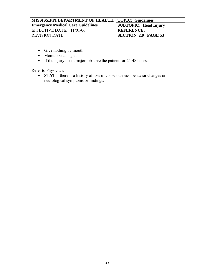| <b>MISSISSIPPI DEPARTMENT OF HEALTH   TOPIC: Guidelines</b> |                              |
|-------------------------------------------------------------|------------------------------|
| <b>Emergency Medical Care Guidelines</b>                    | <b>SUBTOPIC: Head Injury</b> |
| EFFECTIVE DATE: $11/01/06$                                  | <b>REFERENCE:</b>            |
| <b>REVISION DATE:</b>                                       | <b>SECTION 2.0 PAGE 53</b>   |

- Give nothing by mouth.
- Monitor vital signs.
- If the injury is not major, observe the patient for 24-48 hours.

Refer to Physician:

• **STAT** if there is a history of loss of consciousness, behavior changes or neurological symptoms or findings.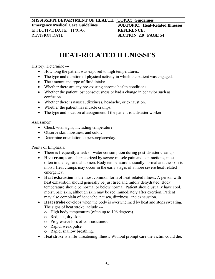| <b>MISSISSIPPI DEPARTMENT OF HEALTH   TOPIC: Guidelines</b> |                                         |
|-------------------------------------------------------------|-----------------------------------------|
| <b>Emergency Medical Care Guidelines</b>                    | <b>SUBTOPIC: Heat-Related Illnesses</b> |
| EFFECTIVE DATE: $11/01/06$                                  | <b>REFERENCE:</b>                       |
| <b>REVISION DATE:</b>                                       | <b>SECTION 2.0 PAGE 54</b>              |

## **HEAT-RELATED ILLNESSES**

History: Determine ---

- How long the patient was exposed to high temperatures.
- The type and duration of physical activity in which the patient was engaged.
- The amount and type of fluid intake.
- Whether there are any pre-existing chronic health conditions.
- Whether the patient lost consciousness or had a change in behavior such as confusion.
- Whether there is nausea, dizziness, headache, or exhaustion.
- Whether the patient has muscle cramps.
- The type and location of assignment if the patient is a disaster worker.

Assessment:

- Check vital signs, including temperature.
- Observe skin moistness and color.
- Determine orientation to person/place/day.

Points of Emphasis:

- There is frequently a lack of water consumption during post-disaster cleanup.
- **Heat cramps** are characterized by severe muscle pain and contractions, most often in the legs and abdomen. Body temperature is usually normal and the skin is moist. Heat cramps may occur in the early stages of a more severe heat-related emergency.
- **Heat exhaustion** is the most common form of heat-related illness. A person with heat exhaustion should generally be just tired and mildly dehydrated. Body temperature should be normal or below normal. Patient should usually have cool, moist, pale skin, although skin may be red immediately after exertion. Patient may also complain of headache, nausea, dizziness, and exhaustion.
- **Heat stroke** develops when the body is overwhelmed by heat and stops sweating. The signs of heat stroke include --
	- o High body temperature (often up to 106 degrees).
	- o Red, hot, dry skin.
	- o Progressive loss of consciousness.
	- o Rapid, weak pulse.
	- o Rapid, shallow breathing.
- Heat stroke is a life-threatening illness. Without prompt care the victim could die.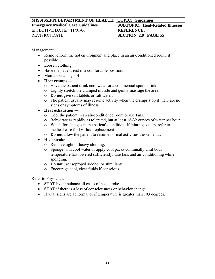| MISSISSIPPI DEPARTMENT OF HEALTH   TOPIC: Guidelines |                                         |
|------------------------------------------------------|-----------------------------------------|
| <b>Emergency Medical Care Guidelines</b>             | <b>SUBTOPIC: Heat-Related Illnesses</b> |
| EFFECTIVE DATE: $11/01/06$                           | <b>REFERENCE:</b>                       |
| <b>REVISION DATE:</b>                                | <b>SECTION 2.0 PAGE 55</b>              |

Management:

- Remove from the hot environment and place in an air-conditioned room, if possible.
- Loosen clothing.
- Have the patient rest in a comfortable position.
- Monitor vital signsH
- **Heat cramps --**
	- o Have the patient drink cool water or a commercial sports drink.
	- o Lightly stretch the cramped muscle and gently massage the area.
	- o **Do not** give salt tablets or salt water.
	- o The patient usually may resume activity when the cramps stop if there are no signs or symptoms of illness.
- **Heat exhaustion --**
	- o Cool the patient in an air-conditioned room or use fans.
	- o Rehydrate as rapidly as tolerated, but at least 16-32 ounces of water per hour.
	- o Watch for changes in the patient's condition. If fainting occurs, refer to medical care for IV fluid replacement.
	- o **Do not** allow the patient to resume normal activities the same day.
- **Heat stroke --**
	- o Remove tight or heavy clothing.
	- o Sponge with cool water or apply cool packs continually until body temperature has lowered sufficiently. Use fans and air conditioning while sponging.
	- o **Do not** use isopropyl alcohol or stimulants.
	- o Encourage cool, clear fluids if conscious.

- **STAT** by ambulance all cases of heat stroke.
- **STAT** if there is a loss of consciousness or behavior change.
- If vital signs are abnormal or if temperature is greater than 103 degrees.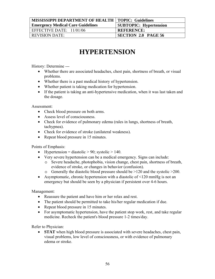| <b>MISSISSIPPI DEPARTMENT OF HEALTH   TOPIC: Guidelines</b> |                               |
|-------------------------------------------------------------|-------------------------------|
| <b>Emergency Medical Care Guidelines</b>                    | <b>SUBTOPIC: Hypertension</b> |
| EFFECTIVE DATE: $11/01/06$                                  | <b>REFERENCE:</b>             |
| <b>REVISION DATE:</b>                                       | <b>SECTION 2.0 PAGE 56</b>    |

# **HYPERTENSION**

History: Determine ---

- Whether there are associated headaches, chest pain, shortness of breath, or visual problems.
- Whether there is a past medical history of hypertension.
- Whether patient is taking medication for hypertension.
- If the patient is taking an anti-hypertensive medication, when it was last taken and the dosage.

Assessment:

- Check blood pressure on both arms.
- Assess level of consciousness.
- Check for evidence of pulmonary edema (rales in lungs, shortness of breath, tachypnea).
- Check for evidence of stroke (unilateral weakness).
- Repeat blood pressure in 15 minutes.

Points of Emphasis:

- Hypertension = diastolic > 90; systolic > 140.
- Very severe hypertension can be a medical emergency. Signs can include:
	- o Severe headache, photophobia, vision change, chest pain, shortness of breath, evidence of stroke, or changes in behavior (confusion).
	- o Generally the diastolic blood pressure should be >120 and the systolic >200.
- Asymptomatic, chronic hypertension with a diastolic of  $\leq 120$  mmHg is not an emergency but should be seen by a physician if persistent over 4-6 hours.

Management:

- Reassure the patient and have him or her relax and rest.
- The patient should be permitted to take his/her regular medication if due.
- Repeat blood pressure in 15 minutes.
- For asymptomatic hypertension, have the patient stop work, rest, and take regular medicine. Recheck the patient's blood pressure 1-2 times/day.

Refer to Physician:

• **STAT** when high blood pressure is associated with severe headaches, chest pain, visual problems, low level of consciousness, or with evidence of pulmonary edema or stroke.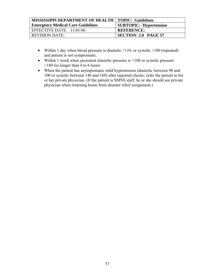| MISSISSIPPI DEPARTMENT OF HEALTH   TOPIC: Guidelines |                               |
|------------------------------------------------------|-------------------------------|
| <b>Emergency Medical Care Guidelines</b>             | <b>SUBTOPIC:</b> Hypertension |
| EFFECTIVE DATE: $11/01/06$                           | <b>REFERENCE:</b>             |
| <b>REVISION DATE:</b>                                | SECTION 2.0 PAGE 57           |

- Within 1 day when blood pressure is diastolic  $>110$ , or systolic  $>180$  (repeated) and patient is not symptomatic.
- Within 1 week when persistent diastolic pressure is >100 or systolic pressure >160 for longer than 4 to 6 hours.
- When the patient has asymptomatic mild hypertension (diastolic between 90 and 100 or systolic between 140 and 160) after repeated checks; refer the patient to his or her private physician. (If the patient is SMNS staff, he or she should see private physician when returning home from disaster relief assignment.)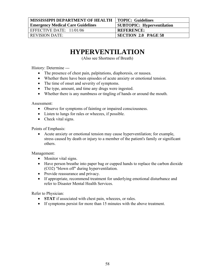| <b>MISSISSIPPI DEPARTMENT OF HEALTH</b>  | TOPIC: Guidelines                 |
|------------------------------------------|-----------------------------------|
| <b>Emergency Medical Care Guidelines</b> | <b>SUBTOPIC: Hyperventilation</b> |
| EFFECTIVE DATE: 11/01/06                 | <b>REFERENCE:</b>                 |
| <b>REVISION DATE:</b>                    | SECTION 2.0 PAGE 58               |

## **HYPERVENTILATION**

(Also see Shortness of Breath)

History: Determine ---

- The presence of chest pain, palpitations, diaphoresis, or nausea.
- Whether there have been episodes of acute anxiety or emotional tension.
- The time of onset and severity of symptoms.
- The type, amount, and time any drugs were ingested.
- Whether there is any numbness or tingling of hands or around the mouth.

Assessment:

- Observe for symptoms of fainting or impaired consciousness.
- Listen to lungs for rales or wheezes, if possible.
- Check vital signs.

Points of Emphasis:

• Acute anxiety or emotional tension may cause hyperventilation; for example, stress caused by death or injury to a member of the patient's family or significant others.

Management:

- Monitor vital signs.
- Have person breathe into paper bag or cupped hands to replace the carbon dioxide (CO2) "blown off" during hyperventilation.
- Provide reassurance and privacy.
- If appropriate, recommend treatment for underlying emotional disturbance and refer to Disaster Mental Health Services.

- **STAT** if associated with chest pain, wheezes, or rales.
- If symptoms persist for more than 15 minutes with the above treatment.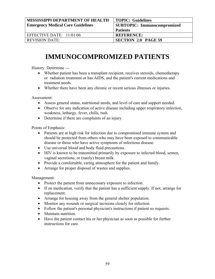| <b>MISSISSIPPI DEPARTMENT OF HEALTH</b><br><b>Emergency Medical Care Guidelines</b> | <b>TOPIC: Guidelines</b><br><b>SUBTOPIC: Immunocompromized</b><br><b>Patients</b> |
|-------------------------------------------------------------------------------------|-----------------------------------------------------------------------------------|
| EFFECTIVE DATE: $11/01/06$                                                          | <b>REFERENCE:</b>                                                                 |
| <b>REVISION DATE:</b>                                                               | <b>SECTION 2.0 PAGE 59</b>                                                        |

# **IMMUNOCOMPROMIZED PATIENTS**

History: Determine ---

- Whether patient has been a transplant recipient, receives steroids, chemotherapy or radiation treatment or has AIDS, and the patient's current medications and treatment needs.
- Whether there have been any chronic or recent serious illnesses or injuries.

Assessment:

- Assess general status, nutritional needs, and level of care and support needed.
- Observe for any indication of active disease including upper respiratory infection, weakness, lethargy, fever, chills, rash.
- Determine if there are complaints of an injury.

Points of Emphasis:

- Patients are at high risk for infection due to compromised immune system and should be protected from others who may have been exposed to communicable disease or those who have active symptoms of infectious disease.
- Use universal blood and body fluid precautions.
- HIV is known to be transmitted primarily by exposure to infected blood, semen, vaginal secretions, or (rarely) breast milk.
- Provide a comfortable, caring atmosphere for the patient and family.
- Arrange for proper disposal of wastes and supplies.

Management:

- Protect the patient from unnecessary exposure to infection.
- If on medication, verify that the patient has a sufficient supply. If not, arrange for replacement.
- Arrange for housing away from the general shelter population.
- Monitor any wounds or surgical incisions closely for infection.
- Follow the patient's personal physician's instructions if patient so requests.
- Maintain nutrition.
- Have the patient contact his or her physician as soon as possible for further instructions for care.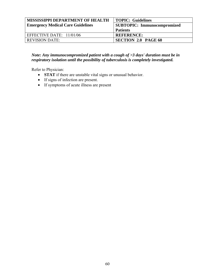| MISSISSIPPI DEPARTMENT OF HEALTH<br><b>Emergency Medical Care Guidelines</b> | <b>TOPIC: Guidelines</b><br><b>SUBTOPIC: Immunocompromized</b><br><b>Patients</b> |
|------------------------------------------------------------------------------|-----------------------------------------------------------------------------------|
| EFFECTIVE DATE: 11/01/06                                                     | <b>REFERENCE:</b>                                                                 |
| <b>REVISION DATE:</b>                                                        | SECTION 2.0 PAGE 60                                                               |

### *Note: Any immunocompromized patient with a cough of >3 days' duration must be in respiratory isolation until the possibility of tuberculosis is completely investigated.*

- **STAT** if there are unstable vital signs or unusual behavior.
- If signs of infection are present.
- If symptoms of acute illness are present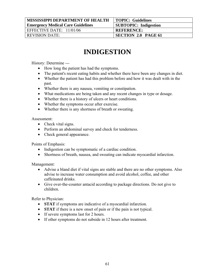| MISSISSIPPI DEPARTMENT OF HEALTH         | TOPIC: Guidelines            |
|------------------------------------------|------------------------------|
| <b>Emergency Medical Care Guidelines</b> | <b>SUBTOPIC:</b> Indigestion |
| EFFECTIVE DATE: $11/01/06$               | <b>REFERENCE:</b>            |
| <b>REVISION DATE:</b>                    | <b>SECTION 2.0 PAGE 61</b>   |
|                                          |                              |

## **INDIGESTION**

History: Determine ---

- How long the patient has had the symptoms.
- The patient's recent eating habits and whether there have been any changes in diet.
- Whether the patient has had this problem before and how it was dealt with in the past.
- Whether there is any nausea, vomiting or constipation.
- What medications are being taken and any recent changes in type or dosage.
- Whether there is a history of ulcers or heart conditions.
- Whether the symptoms occur after exercise.
- Whether there is any shortness of breath or sweating.

Assessment:

- Check vital signs.
- Perform an abdominal survey and check for tenderness.
- Check general appearance.

Points of Emphasis:

- Indigestion can be symptomatic of a cardiac condition.
- Shortness of breath, nausea, and sweating can indicate myocardial infarction.

Management:

- Advise a bland diet if vital signs are stable and there are no other symptoms. Also advise to increase water consumption and avoid alcohol, coffee, and other caffeinated drinks.
- Give over-the-counter antacid according to package directions. Do not give to children.

- **STAT** if symptoms are indicative of a myocardial infarction.
- **STAT** if there is a new onset of pain or if the pain is not typical.
- If severe symptoms last for 2 hours.
- If other symptoms do not subside in 12 hours after treatment.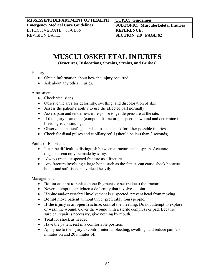| <b>MISSISSIPPI DEPARTMENT OF HEALTH</b>  | <b>TOPIC: Guidelines</b>                  |
|------------------------------------------|-------------------------------------------|
| <b>Emergency Medical Care Guidelines</b> | <b>SUBTOPIC: Musculoskeletal Injuries</b> |
| EFFECTIVE DATE: $11/01/06$               | <b>REFERENCE:</b>                         |
| <b>REVISION DATE:</b>                    | SECTION 2.0 PAGE 62                       |

## **MUSCULOSKELETAL INJURIES**

**(Fractures, Dislocations, Sprains, Strains, and Bruises)** 

History:

- Obtain information about how the injury occurred.
- Ask about any other injuries.

Assessment:

- Check vital signs.
- Observe the area for deformity, swelling, and discoloration of skin.
- Assess the patient's ability to use the affected part normally.
- Assess pain and tenderness in response to gentle pressure at the site.
- If the injury is an open (compound) fracture, inspect the wound and determine if bleeding is continuing.
- Observe the patient's general status and check for other possible injuries.
- Check for distal pulses and capillary refill (should be less than 2 seconds).

Points of Emphasis:

- It can be difficult to distinguish between a fracture and a sprain. Accurate diagnosis can only be made by x-ray.
- Always treat a suspected fracture as a fracture.
- Any fracture involving a large bone, such as the femur, can cause shock because bones and soft tissue may bleed heavily.

Management:

- **Do not** attempt to replace bone fragments or set (reduce) the fracture.
- Never attempt to straighten a deformity that involves a joint.
- If spine and/or vertebral involvement is suspected, prevent head from moving.
- **Do not** move patient without three (preferably four) people.
- **If the injury is an open fracture**, control the bleeding. Do not attempt to explore or wash the wound. Cover the wound with a sterile compress or pad. Because surgical repair is necessary, give nothing by mouth.
- Treat for shock as needed.
- Have the patient rest in a comfortable position.
- Apply ice to the injury to control internal bleeding, swelling, and reduce pain 20 minutes on and 20 minutes off.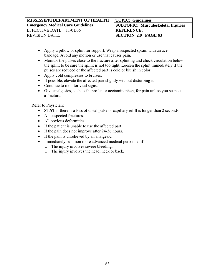| <b>MISSISSIPPI DEPARTMENT OF HEALTH</b>  | TOPIC: Guidelines                         |
|------------------------------------------|-------------------------------------------|
| <b>Emergency Medical Care Guidelines</b> | <b>SUBTOPIC: Musculoskeletal Injuries</b> |
| EFFECTIVE DATE: $11/01/06$               | <b>REFERENCE:</b>                         |
| REVISION DATE:                           | <b>SECTION 2.0 PAGE 63</b>                |

- Apply a pillow or splint for support. Wrap a suspected sprain with an ace bandage. Avoid any motion or use that causes pain.
- Monitor the pulses close to the fracture after splinting and check circulation below the splint to be sure the splint is not too tight. Loosen the splint immediately if the pulses are reduced or the affected part is cold or bluish in color.
- Apply cold compresses to bruises.
- If possible, elevate the affected part slightly without disturbing it.
- Continue to monitor vital signs.
- Give analgesics, such as ibuprofen or acetaminophen, for pain unless you suspect a fracture.

- **STAT** if there is a loss of distal pulse or capillary refill is longer than 2 seconds.
- All suspected fractures.
- All obvious deformities.
- If the patient is unable to use the affected part.
- If the pain does not improve after 24-36 hours.
- If the pain is unrelieved by an analgesic.
- Immediately summon more advanced medical personnel if --
	- o The injury involves severe bleeding.
	- o The injury involves the head, neck or back.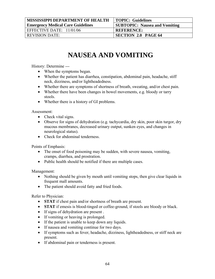| <b>MISSISSIPPI DEPARTMENT OF HEALTH</b>  | TOPIC: Guidelines                    |
|------------------------------------------|--------------------------------------|
| <b>Emergency Medical Care Guidelines</b> | <b>SUBTOPIC: Nausea and Vomiting</b> |
| EFFECTIVE DATE: 11/01/06                 | <b>REFERENCE:</b>                    |
| <b>REVISION DATE:</b>                    | <b>SECTION 2.0 PAGE 64</b>           |
|                                          |                                      |

# **NAUSEA AND VOMITING**

History: Determine ---

- When the symptoms began.
- Whether the patient has diarrhea, constipation, abdominal pain, headache, stiff neck, dizziness, and/or lightheadedness.
- Whether there are symptoms of shortness of breath, sweating, and/or chest pain.
- Whether there have been changes in bowel movements, e.g. bloody or tarry stools.
- Whether there is a history of GI problems.

Assessment:

- Check vital signs.
- Observe for signs of dehydration (e.g. tachycardia, dry skin, poor skin turgor, dry mucous membranes, decreased urinary output, sunken eyes, and changes in neurological status).
- Check for abdominal tenderness.

Points of Emphasis:

- The onset of food poisoning may be sudden, with severe nausea, vomiting, cramps, diarrhea, and prostration.
- Public health should be notified if there are multiple cases.

Management:

- Nothing should be given by mouth until vomiting stops, then give clear liquids in frequent mall amounts.
- The patient should avoid fatty and fried foods.

- **STAT** if chest pain and/or shortness of breath are present.
- **STAT** if emesis is blood-tinged or coffee-ground, if stools are bloody or black.
- If signs of dehydration are present.
- If vomiting or heaving is prolonged.
- If the patient is unable to keep down any liquids.
- If nausea and vomiting continue for two days.
- If symptoms such as fever, headache, dizziness, lightheadedness, or stiff neck are present.
- If abdominal pain or tenderness is present.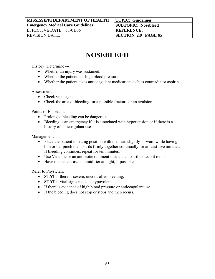| <b>MISSISSIPPI DEPARTMENT OF HEALTH</b>  | TOPIC: Guidelines          |
|------------------------------------------|----------------------------|
| <b>Emergency Medical Care Guidelines</b> | <b>SUBTOPIC: Nosebleed</b> |
| EFFECTIVE DATE: $11/01/06$               | <b>REFERENCE:</b>          |
| <b>REVISION DATE:</b>                    | <b>SECTION 2.0 PAGE 65</b> |
|                                          |                            |

### **NOSEBLEED**

History: Determine ---

- Whether an injury was sustained.
- Whether the patient has high blood pressure.
- Whether the patient takes anticoagulant medication such as coumadin or aspirin.

Assessment:

- Check vital signs.
- Check the area of bleeding for a possible fracture or an avulsion.

Points of Emphasis:

- Prolonged bleeding can be dangerous.
- Bleeding is an emergency if it is associated with hypertension or if there is a history of anticoagulant use

Management:

- Place the patient in sitting position with the head slightly forward while having him or her pinch the nostrils firmly together continually for at least five minutes. If bleeding continues, repeat for ten minutes.
- Use Vaseline or an antibiotic ointment inside the nostril to keep it moist.
- Have the patient use a humidifier at night, if possible.

- **STAT** if there is severe, uncontrolled bleeding.
- **STAT** if vital signs indicate hypovolemia.
- If there is evidence of high blood pressure or anticoagulant use.
- If the bleeding does not stop or stops and then recurs.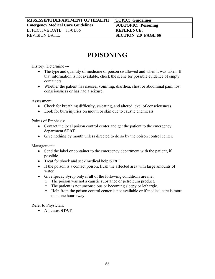| <b>MISSISSIPPI DEPARTMENT OF HEALTH</b>  | TOPIC: Guidelines          |
|------------------------------------------|----------------------------|
| <b>Emergency Medical Care Guidelines</b> | <b>SUBTOPIC: Poisoning</b> |
| EFFECTIVE DATE: 11/01/06                 | <b>REFERENCE:</b>          |
| <b>REVISION DATE:</b>                    | <b>SECTION 2.0 PAGE 66</b> |
|                                          |                            |

## **POISONING**

History: Determine ---

- The type and quantity of medicine or poison swallowed and when it was taken. If that information is not available, check the scene for possible evidence of empty containers.
- Whether the patient has nausea, vomiting, diarrhea, chest or abdominal pain, lost consciousness or has had a seizure.

Assessment:

- Check for breathing difficulty, sweating, and altered level of consciousness.
- Look for burn injuries on mouth or skin due to caustic chemicals.

Points of Emphasis:

- Contact the local poison control center and get the patient to the emergency department **STAT**.
- Give nothing by mouth unless directed to do so by the poison control center.

Management:

- Send the label or container to the emergency department with the patient, if possible.
- Treat for shock and seek medical help **STAT**.
- If the poison is a contact poison, flush the affected area with large amounts of water
- Give Ipecac Syrup only if **all** of the following conditions are met:
	- o The poison was not a caustic substance or petroleum product.
	- o The patient is not unconscious or becoming sleepy or lethargic.
	- o Help from the poison control center is not available or if medical care is more than one hour away.

Refer to Physician:

• All cases **STAT**.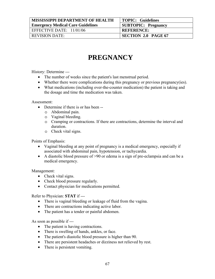| <b>MISSISSIPPI DEPARTMENT OF HEALTH</b>  | <b>TOPIC: Guidelines</b>   |
|------------------------------------------|----------------------------|
| <b>Emergency Medical Care Guidelines</b> | <b>SUBTOPIC: Pregnancy</b> |
| EFFECTIVE DATE: $11/01/06$               | <b>REFERENCE:</b>          |
| <b>REVISION DATE:</b>                    | <b>SECTION 2.0 PAGE 67</b> |

## **PREGNANCY**

History: Determine ---

- The number of weeks since the patient's last menstrual period.
- Whether there were complications during this pregnancy or previous pregnancy(ies).
- What medications (including over-the-counter medication) the patient is taking and the dosage and time the medication was taken.

Assessment:

- Determine if there is or has been -
	- o Abdominal pain.
	- o Vaginal bleeding.
	- o Cramping or contractions. If there are contractions, determine the interval and duration.
	- o Check vital signs.

Points of Emphasis:

- Vaginal bleeding at any point of pregnancy is a medical emergency, especially if associated with abdominal pain, hypotension, or tachycardia.
- A diastolic blood pressure of >90 or edema is a sign of pre-eclampsia and can be a medical emergency.

Management:

- Check vital signs.
- Check blood pressure regularly.
- Contact physician for medications permitted.

Refer to Physician: **STAT** if ---

- There is vaginal bleeding or leakage of fluid from the vagina.
- There are contractions indicating active labor.
- The patient has a tender or painful abdomen.

As soon as possible if ---

- The patient is having contractions.
- There is swelling of hands, ankles, or face.
- The patient's diastolic blood pressure is higher than 90.
- There are persistent headaches or dizziness not relieved by rest.
- There is persistent vomiting.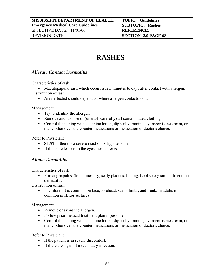| <b>MISSISSIPPI DEPARTMENT OF HEALTH</b>  | TOPIC: Guidelines          |
|------------------------------------------|----------------------------|
| <b>Emergency Medical Care Guidelines</b> | <b>SUBTOPIC: Rashes</b>    |
| EFFECTIVE DATE: $11/01/06$               | <b>REFERENCE:</b>          |
| <b>REVISION DATE:</b>                    | <b>SECTION 2.0 PAGE 68</b> |

## **RASHES**

### *Allergic Contact Dermatitis*

Characteristics of rash:

• Maculopapular rash which occurs a few minutes to days after contact with allergen. Distribution of rash:

• Area affected should depend on where allergen contacts skin.

Management:

- Try to identify the allergen.
- Remove and dispose of (or wash carefully) all contaminated clothing.
- Control the itching with calamine lotion, diphenhydramine, hydrocortisone cream, or many other over-the-counter medications or medication of doctor's choice.

Refer to Physician:

- **STAT** if there is a severe reaction or hypotension.
- If there are lesions in the eyes, nose or ears.

### *Atopic Dermatitis*

Characteristics of rash:

• Primary papules. Sometimes dry, scaly plaques. Itching. Looks very similar to contact dermatitis.

Distribution of rash:

• In children it is common on face, forehead, scalp, limbs, and trunk. In adults it is common in flexor surfaces.

Management:

- Remove or avoid the allergen.
- Follow prior medical treatment plan if possible.
- Control the itching with calamine lotion, diphenhydramine, hydrocortisone cream, or many other over-the-counter medications or medication of doctor's choice.

- If the patient is in severe discomfort.
- If there are signs of a secondary infection.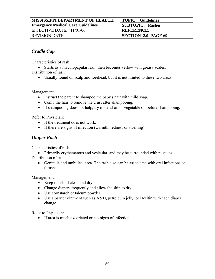| <b>MISSISSIPPI DEPARTMENT OF HEALTH</b>  | <b>TOPIC: Guidelines</b>   |
|------------------------------------------|----------------------------|
| <b>Emergency Medical Care Guidelines</b> | <b>SUBTOPIC: Rashes</b>    |
| EFFECTIVE DATE: $11/01/06$               | <b>REFERENCE:</b>          |
| <b>REVISION DATE:</b>                    | <b>SECTION 2.0 PAGE 69</b> |

### *Cradle Cap*

Characteristics of rash:

• Starts as a maculopapular rash, then becomes yellow with greasy scales. Distribution of rash:

• Usually found on scalp and forehead, but it is not limited to these two areas.

Management:

- Instruct the parent to shampoo the baby's hair with mild soap.
- Comb the hair to remove the crust after shampooing.
- If shampooing does not help, try mineral oil or vegetable oil before shampooing.

Refer to Physician:

- If the treatment does not work.
- If there are signs of infection (warmth, redness or swelling).

### *Diaper Rash*

Characteristics of rash:

• Primarily erythematous and vesicular, and may be surrounded with pustules. Distribution of rash:

• Genitalia and umbilical area. The rash also can be associated with oral infections or thrush.

Management:

- Keep the child clean and dry.
- Change diapers frequently and allow the skin to dry.
- Use cornstarch or talcum powder.
- Use a barrier ointment such as A&D, petroleum jelly, or Desitin with each diaper change.

Refer to Physician:

• If area is much excoriated or has signs of infection.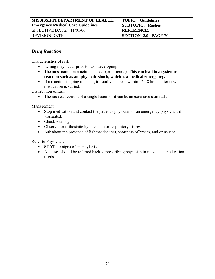| <b>MISSISSIPPI DEPARTMENT OF HEALTH</b>  | TOPIC: Guidelines          |
|------------------------------------------|----------------------------|
| <b>Emergency Medical Care Guidelines</b> | <b>SUBTOPIC: Rashes</b>    |
| EFFECTIVE DATE: $11/01/06$               | <b>REFERENCE:</b>          |
| <b>REVISION DATE:</b>                    | <b>SECTION 2.0 PAGE 70</b> |

### *Drug Reaction*

Characteristics of rash:

- Itching may occur prior to rash developing.
- The most common reaction is hives (or urticaria). **This can lead to a systemic reaction such as anaphylactic shock, which is a medical emergency.**
- If a reaction is going to occur, it usually happens within 12-48 hours after new medication is started.

Distribution of rash:

• The rash can consist of a single lesion or it can be an extensive skin rash.

Management:

- Stop medication and contact the patient's physician or an emergency physician, if warranted.
- Check vital signs.
- Observe for orthostatic hypotension or respiratory distress.
- Ask about the presence of lightheadedness, shortness of breath, and/or nausea.

- **STAT** for signs of anaphylaxis.
- All cases should be referred back to prescribing physician to reevaluate medication needs.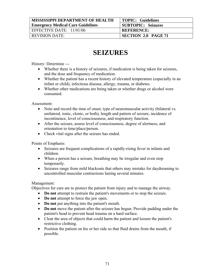| <b>MISSISSIPPI DEPARTMENT OF HEALTH</b>  | TOPIC: Guidelines          |
|------------------------------------------|----------------------------|
| <b>Emergency Medical Care Guidelines</b> | <b>SUBTOPIC: Seizures</b>  |
| EFFECTIVE DATE: $11/01/06$               | <b>REFERENCE:</b>          |
| <b>REVISION DATE:</b>                    | <b>SECTION 2.0 PAGE 71</b> |

### **SEIZURES**

History: Determine ---

- Whether there is a history of seizures, if medication is being taken for seizures, and the dose and frequency of medication.
- Whether the patient has a recent history of elevated temperature (especially in an infant or child), infectious disease, allergy, trauma, or diabetes.
- Whether other medications are being taken or whether drugs or alcohol were consumed.

Assessment:

- Note and record the time of onset, type of neuromuscular activity (bilateral vs. unilateral, tonic, clonic, or both), length and pattern of seizure, incidence of incontinence, level of consciousness, and respiratory function.
- After the seizure, assess level of consciousness, degree of alertness, and orientation to time/place/person.
- Check vital signs after the seizure has ended.

Points of Emphasis:

- Seizures are frequent complications of a rapidly-rising fever in infants and children.
- When a person has a seizure, breathing may be irregular and even stop temporarily.
- Seizures range from mild blackouts that others may mistake for daydreaming to uncontrolled muscular contractions lasting several minutes.

#### Management:

Objectives for care are to protect the patient from injury and to manage the airway.

- **Do not** attempt to restrain the patient's movements or to stop the seizure.
- **Do not** attempt to force the jaw open.
- **Do not** put anything into the patient's mouth.
- **Do not** move the patient after the seizure has begun. Provide padding under the patient's head to prevent head trauma on a hard surface.
- Clear the area of objects that could harm the patient and loosen the patient's restrictive clothing.
- Position the patient on his or her side so that fluid drains from the mouth, if possible.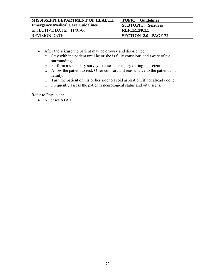| <b>MISSISSIPPI DEPARTMENT OF HEALTH</b>  | TOPIC: Guidelines         |
|------------------------------------------|---------------------------|
| <b>Emergency Medical Care Guidelines</b> | <b>SUBTOPIC: Seizures</b> |
| EFFECTIVE DATE: 11/01/06                 | <b>REFERENCE:</b>         |
| <b>REVISION DATE:</b>                    | SECTION 2.0 PAGE 72       |

- After the seizure the patient may be drowsy and disoriented.
	- o Stay with the patient until he or she is fully conscious and aware of the surroundings.
	- o Perform a secondary survey to assess for injury during the seizure.
	- o Allow the patient to rest. Offer comfort and reassurance to the patient and family.
	- o Turn the patient on his or her side to avoid aspiration, if not already done.
	- o Frequently assess the patient's neurological status and vital signs.

Refer to Physician:

• All cases **STAT**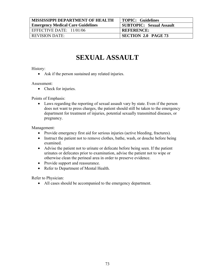| <b>MISSISSIPPI DEPARTMENT OF HEALTH</b>  | <b>TOPIC: Guidelines</b>        |
|------------------------------------------|---------------------------------|
| <b>Emergency Medical Care Guidelines</b> | <b>SUBTOPIC: Sexual Assault</b> |
| EFFECTIVE DATE: $11/01/06$               | <b>REFERENCE:</b>               |
| <b>REVISION DATE:</b>                    | <b>SECTION 2.0 PAGE 73</b>      |

# **SEXUAL ASSAULT**

#### History:

• Ask if the person sustained any related injuries.

#### Assessment:

• Check for injuries.

#### Points of Emphasis:

• Laws regarding the reporting of sexual assault vary by state. Even if the person does not want to press charges, the patient should still be taken to the emergency department for treatment of injuries, potential sexually transmitted diseases, or pregnancy.

#### Management:

- Provide emergency first aid for serious injuries (active bleeding, fractures).
- Instruct the patient not to remove clothes, bathe, wash, or douche before being examined.
- Advise the patient not to urinate or defecate before being seen. If the patient urinates or defecates prior to examination, advise the patient not to wipe or otherwise clean the perineal area in order to preserve evidence.
- Provide support and reassurance.
- Refer to Department of Mental Health.

Refer to Physician:

• All cases should be accompanied to the emergency department.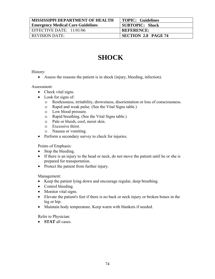| <b>MISSISSIPPI DEPARTMENT OF HEALTH</b>  | TOPIC: Guidelines          |
|------------------------------------------|----------------------------|
| <b>Emergency Medical Care Guidelines</b> | <b>SUBTOPIC: Shock</b>     |
| EFFECTIVE DATE: $11/01/06$               | <b>REFERENCE:</b>          |
| <b>REVISION DATE:</b>                    | <b>SECTION 2.0 PAGE 74</b> |

## **SHOCK**

History:

• Assess the reasons the patient is in shock (injury, bleeding, infection).

Assessment:

- Check vital signs.
- Look for signs of:
	- o Restlessness, irritability, drowsiness, disorientation or loss of consciousness.
	- o Rapid and weak pulse. (See the Vital Signs table.)
	- o Low blood pressure.
	- o Rapid breathing. (See the Vital Signs table.)
	- o Pale or bluish, cool, moist skin.
	- o Excessive thirst.
	- o Nausea or vomiting.
- Perform a secondary survey to check for injuries.

Points of Emphasis:

- Stop the bleeding.
- If there is an injury to the head or neck, do not move the patient until he or she is prepared for transportation.
- Protect the patient from further injury.

Management:

- Keep the patient lying down and encourage regular, deep breathing.
- Control bleeding.
- Monitor vital signs.
- Elevate the patient's feet if there is no back or neck injury or broken bones in the leg or hip.
- Maintain body temperature. Keep warm with blankets if needed.

Refer to Physician:

• **STAT** all cases.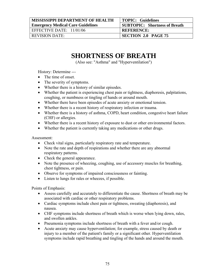| <b>MISSISSIPPI DEPARTMENT OF HEALTH</b>  | <b>TOPIC: Guidelines</b>             |
|------------------------------------------|--------------------------------------|
| <b>Emergency Medical Care Guidelines</b> | <b>SUBTOPIC: Shortness of Breath</b> |
| EFFECTIVE DATE: $11/01/06$               | <b>REFERENCE:</b>                    |
| <b>REVISION DATE:</b>                    | SECTION 2.0 PAGE 75                  |

### **SHORTNESS OF BREATH**

(Also see: "Asthma" and "Hyperventilation")

History: Determine ---

- The time of onset.
- The severity of symptoms.
- Whether there is a history of similar episodes.
- Whether the patient is experiencing chest pain or tightness, diaphoresis, palpitations, coughing, or numbness or tingling of hands or around mouth.
- Whether there have been episodes of acute anxiety or emotional tension.
- Whether there is a recent history of respiratory infection or trauma.
- Whether there is a history of asthma, COPD, heart condition, congestive heart failure (CHF) or allergies.
- Whether there is a recent history of exposure to dust or other environmental factors.
- Whether the patient is currently taking any medications or other drugs.

Assessment:

- Check vital signs, particularly respiratory rate and temperature.
- Note the rate and depth of respirations and whether there are any abnormal respiratory patterns.
- Check the general appearance.
- Note the presence of wheezing, coughing, use of accessory muscles for breathing, chest tightness, or pain.
- Observe for symptoms of impaired consciousness or fainting.
- Listen to lungs for rales or wheezes, if possible.

Points of Emphasis:

- Assess carefully and accurately to differentiate the cause. Shortness of breath may be associated with cardiac or other respiratory problems.
- Cardiac symptoms include chest pain or tightness, sweating (diaphoresis), and nausea.
- CHF symptoms include shortness of breath which is worse when lying down, rales, and swollen ankles.
- Pneumonia symptoms include shortness of breath with a fever and/or cough.
- Acute anxiety may cause hyperventilation; for example, stress caused by death or injury to a member of the patient's family or a significant other. Hyperventilation symptoms include rapid breathing and tingling of the hands and around the mouth.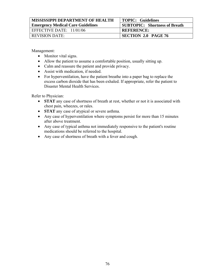| <b>MISSISSIPPI DEPARTMENT OF HEALTH</b>  | TOPIC: Guidelines                    |
|------------------------------------------|--------------------------------------|
| <b>Emergency Medical Care Guidelines</b> | <b>SUBTOPIC:</b> Shortness of Breath |
| EFFECTIVE DATE: 11/01/06                 | <b>REFERENCE:</b>                    |
| <b>REVISION DATE:</b>                    | <b>SECTION 2.0 PAGE 76</b>           |

Management:

- Monitor vital signs.
- Allow the patient to assume a comfortable position, usually sitting up.
- Calm and reassure the patient and provide privacy.
- Assist with medication, if needed.
- For hyperventilation, have the patient breatherinto a paper bag to replace the excess carbon dioxide that has been exhaled. If appropriate, refer the patient to Disaster Mental Health Services.

- **STAT** any case of shortness of breath at rest, whether or not it is associated with chest pain, wheezes, or rales.
- **STAT** any case of atypical or severe asthma.
- Any case of hyperventilation where symptoms persist for more than 15 minutes after above treatment.
- Any case of typical asthma not immediately responsive to the patient's routine medications should be referred to the hospital.
- Any case of shortness of breath with a fever and cough.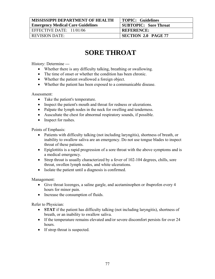| <b>MISSISSIPPI DEPARTMENT OF HEALTH</b>  | TOPIC: Guidelines            |
|------------------------------------------|------------------------------|
| <b>Emergency Medical Care Guidelines</b> | <b>SUBTOPIC: Sore Throat</b> |
| EFFECTIVE DATE: $11/01/06$               | <b>REFERENCE:</b>            |
| <b>REVISION DATE:</b>                    | <b>SECTION 2.0 PAGE 77</b>   |

# **SORE THROAT**

History: Determine ---

- Whether there is any difficulty talking, breathing or swallowing.
- The time of onset or whether the condition has been chronic.
- Whether the patient swallowed a foreign object.
- Whether the patient has been exposed to a communicable disease.

Assessment:

- Take the patient's temperature.
- Inspect the patient's mouth and throat for redness or ulcerations.
- Palpate the lymph nodes in the neck for swelling and tenderness.
- Auscultate the chest for abnormal respiratory sounds, if possible.
- Inspect for rashes.

Points of Emphasis:

- Patients with difficulty talking (not including laryngitis), shortness of breath, or inability to swallow saliva are an emergency. Do not use tongue blades to inspect throat of these patients.
- Epiglottitis is a rapid progression of a sore throat with the above symptoms and is a medical emergency.
- Strep throat is usually characterized by a fever of 102-104 degrees, chills, sore throat, swollen lymph nodes, and white ulcerations.
- Isolate the patient until a diagnosis is confirmed.

Management:

- Give throat lozenges, a saline gargle, and acetaminophen or ibuprofen every 4 hours for minor pain.
- Increase the consumption of fluids.

- **STAT** if the patient has difficulty talking (not including laryngitis), shortness of breath, or an inability to swallow saliva.
- If the temperature remains elevated and/or severe discomfort persists for over 24 hours.
- If strep throat is suspected.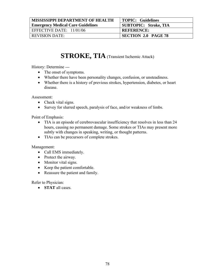| <b>MISSISSIPPI DEPARTMENT OF HEALTH</b>  | TOPIC: Guidelines          |
|------------------------------------------|----------------------------|
| <b>Emergency Medical Care Guidelines</b> | SUBTOPIC: Stroke, TIA      |
| EFFECTIVE DATE: $11/01/06$               | <b>REFERENCE:</b>          |
| <b>REVISION DATE:</b>                    | <b>SECTION 2.0 PAGE 78</b> |

### **STROKE, TIA** (Transient Ischemic Attack)

History: Determine ---

- The onset of symptoms.
- Whether there have been personality changes, confusion, or unsteadiness.
- Whether there is a history of previous strokes, hypertension, diabetes, or heart disease.

Assessment:

- Check vital signs.
- Survey for slurred speech, paralysis of face, and/or weakness of limbs.

Point of Emphasis:

- TIA is an episode of cerebrovascular insufficiency that resolves in less than 24 hours, causing no permanent damage. Some strokes or TIAs may present more subtly with changes in speaking, writing, or thought patterns.
- TIAs can be precursors of complete strokes.

Management:

- Call EMS immediately.
- Protect the airway.
- Monitor vital signs.
- Keep the patient comfortable.
- Reassure the patient and family.

Refer to Physician:

• **STAT** all cases.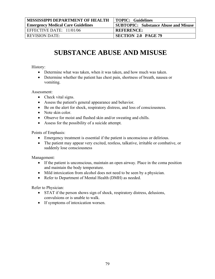| <b>MISSISSIPPI DEPARTMENT OF HEALTH</b>  | <b>TOPIC: Guidelines</b>                    |
|------------------------------------------|---------------------------------------------|
| <b>Emergency Medical Care Guidelines</b> | <b>SUBTOPIC: Substance Abuse and Misuse</b> |
| EFFECTIVE DATE: $11/01/06$               | <b>REFERENCE:</b>                           |
| <b>REVISION DATE:</b>                    | <b>SECTION 2.0 PAGE 79</b>                  |

# **SUBSTANCE ABUSE AND MISUSE**

#### History:

- Determine what was taken, when it was taken, and how much was taken.
- Determine whether the patient has chest pain, shortness of breath, nausea or vomiting.

Assessment:

- Check vital signs.
- Assess the patient's general appearance and behavior.
- Be on the alert for shock, respiratory distress, and loss of consciousness.
- Note skin color.
- Observe for moist and flushed skin and/or sweating and chills.
- Assess for the possibility of a suicide attempt.

Points of Emphasis:

- Emergency treatment is essential if the patient is unconscious or delirious.
- The patient may appear very excited, restless, talkative, irritable or combative, or suddenly lose consciousness

Management:

- If the patient is unconscious, maintain an open airway. Place in the coma position and maintain the body temperature.
- Mild intoxication from alcohol does not need to be seen by a physician.
- Refer to Department of Mental Health (DMH) as needed.

- STAT if the person shows sign of shock, respiratory distress, delusions, convulsions or is unable to walk.
- If symptoms of intoxication worsen.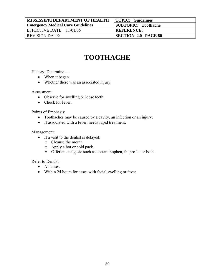| <b>MISSISSIPPI DEPARTMENT OF HEALTH</b>  | TOPIC: Guidelines          |
|------------------------------------------|----------------------------|
| <b>Emergency Medical Care Guidelines</b> | <b>SUBTOPIC: Toothache</b> |
| EFFECTIVE DATE: 11/01/06                 | <b>REFERENCE:</b>          |
| <b>REVISION DATE:</b>                    | <b>SECTION 2.0 PAGE 80</b> |

# **TOOTHACHE**

History: Determine ---

- When it began
- Whether there was an associated injury.

Assessment:

- Observe for swelling or loose teeth.
- Check for fever.

Points of Emphasis:

- Toothaches may be caused by a cavity, an infection or an injury.
- If associated with a fever, needs rapid treatment.

Management:

- If a visit to the dentist is delayed:
	- o Cleanse the mouth.
	- o Apply a hot or cold pack.
	- o Offer an analgesic such as acetaminophen, ibuprofen or both.

Refer to Dentist:

- All cases.
- Within 24 hours for cases with facial swelling or fever.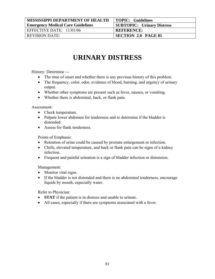| <b>MISSISSIPPI DEPARTMENT OF HEALTH</b>  | TOPIC: Guidelines                 |
|------------------------------------------|-----------------------------------|
| <b>Emergency Medical Care Guidelines</b> | <b>SUBTOPIC: Urinary Distress</b> |
| EFFECTIVE DATE: $11/01/06$               | <b>REFERENCE:</b>                 |
| <b>REVISION DATE:</b>                    | <b>SECTION 2.0 PAGE 81</b>        |

# **URINARY DISTRESS**

History: Determine ---

- The time of onset and whether there is any previous history of this problem.
- The frequency, color, odor, evidence of blood, burning, and urgency of urinary output.
- Whether other symptoms are present such as fever, nausea, or vomiting.
- Whether there is abdominal, back, or flank pain.

Assessment:

- Check temperature.
- Palpate lower abdomen for tenderness and to determine if the bladder is distended.
- Assess for flank tenderness.

Points of Emphasis:

- Retention of urine could be caused by prostate enlargement or infection.
- Chills, elevated temperature, and back or flank pain can be signs of a kidney infection.
- Frequent and painful urination is a sign of bladder infection or distension.

Management:

- Monitor vital signs.
- If the bladder is not distended and there is no abdominal tenderness, encourage liquids by mouth, especially water.

- **STAT** if the patient is in distress and unable to urinate.
- All cases, especially if there are symptoms associated with a fever.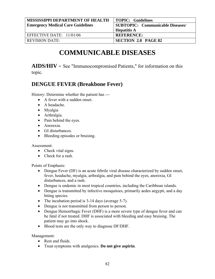| <b>MISSISSIPPI DEPARTMENT OF HEALTH</b>  | TOPIC: Guidelines                       |
|------------------------------------------|-----------------------------------------|
| <b>Emergency Medical Care Guidelines</b> | <b>SUBTOPIC: Communicable Diseases/</b> |
|                                          | <b>Hepatitis A</b>                      |
| EFFECTIVE DATE: 11/01/06                 | <b>REFERENCE:</b>                       |
| <b>REVISION DATE:</b>                    | <b>SECTION 2.0 PAGE 82</b>              |

## **COMMUNICABLE DISEASES**

**AIDS/HIV** - See "Immunocompromised Patients," for information on this topic.

### **DENGUE FEVER (Breakbone Fever)**

History: Determine whether the patient has ---

- A fever with a sudden onset.
- A headache.
- Myalgia
- Arthralgia.
- Pain behind the eyes.
- Anorexia.
- GI disturbances.
- Bleeding episodes or bruising.

Assessment:

- Check vital signs.
- Check for a rash.

Points of Emphasis:

- Dengue Fever (DF) is an acute febrile viral disease characterized by sudden onset, fever, headache, myalgia, arthralgia, and pain behind the eyes, anorexia, GI disturbances, and a rash.
- Dengue is endemic in most tropical countries, including the Caribbean islands.
- Dengue is transmitted by infective mosquitoes, primarily aedes aegypti, and a day biting species.
- The incubation period is 3-14 days (average 5-7).
- Dengue is not transmitted from person to person.
- Dengue Hemorrhagic Fever (DHF) is a more severe type of dengue fever and can be fatal if not treated. DHF is associated with bleeding and easy bruising. The patient may go into shock.
- Blood tests are the only way to diagnose DF/DHF.

Management:

- Rest and fluids.
- Treat symptoms with analgesics. **Do not give aspirin**.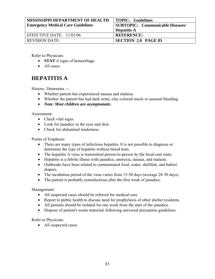| <b>MISSISSIPPI DEPARTMENT OF HEALTH</b>  | TOPIC: Guidelines                       |
|------------------------------------------|-----------------------------------------|
| <b>Emergency Medical Care Guidelines</b> | <b>SUBTOPIC: Communicable Diseases/</b> |
|                                          | <b>Hepatitis A</b>                      |
| EFFECTIVE DATE: 11/01/06                 | <b>REFERENCE:</b>                       |
| <b>REVISION DATE:</b>                    | <b>SECTION 2.0 PAGE 83</b>              |

Refer to Physician:

- **STAT** if signs of hemorrhage.
- All cases.

### **HEPATITIS A**

History: Determine ---

- Whether patient has experienced nausea and malaise.
- Whether the patient has had dark urine, clay-colored stools or unusual bleeding.
- *Note: Most children are asymptomatic.*

Assessment:

- Check vital signs.
- Look for jaundice in the eyes and skin.
- Check for abdominal tenderness.

Points of Emphasis:

- There are many types of infectious hepatitis. It is not possible to diagnose or determine the type of hepatitis without blood tests.
- The hepatitis A virus is transmitted person-to-person by the fecal-oral route.
- Hepatitis is a febrile illness with jaundice, anorexia, nausea, and malaise.
- Outbreaks have been related to contaminated food, water, shellfish, and babies' diapers.
- The incubation period of the virus varies from 15-50 days (average 28-30 days).
- The patient is probably noninfectious after the first week of jaundice.

Management:

- All suspected cases should be referred for medical care.
- Report to public health to discuss need for prophylaxis of other shelter residents.
- All patients should be isolated for one week from the start of the jaundice.
- Dispose of patient's waste materials following universal precaution guidelines.

Refer to Physician:

• All suspected cases.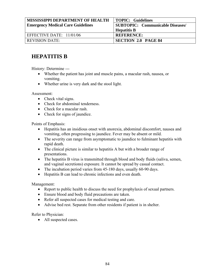| <b>MISSISSIPPI DEPARTMENT OF HEALTH</b>  | <b>TOPIC: Guidelines</b>         |
|------------------------------------------|----------------------------------|
| <b>Emergency Medical Care Guidelines</b> | SUBTOPIC: Communicable Diseases/ |
|                                          | <b>Hepatitis B</b>               |
| EFFECTIVE DATE: $11/01/06$               | <b>REFERENCE:</b>                |
| <b>REVISION DATE:</b>                    | <b>SECTION 2.0 PAGE 84</b>       |

### **HEPATITIS B**

History: Determine ---

- Whether the patient has joint and muscle pains, a macular rash, nausea, or vomiting.
- Whether urine is very dark and the stool light.

Assessment:

- Check vital signs.
- Check for abdominal tenderness.
- Check for a macular rash.
- Check for signs of jaundice.

Points of Emphasis:

- Hepatitis has an insidious onset with anorexia, abdominal discomfort, nausea and vomiting, often progressing to jaundice. Fever may be absent or mild.
- The severity can range from asymptomatic to jaundice to fulminant hepatitis with rapid death.
- The clinical picture is similar to hepatitis A but with a broader range of presentations.
- The hepatitis B virus is transmitted through blood and body fluids (saliva, semen, and vaginal secretions) exposure. It cannot be spread by casual contact.
- The incubation period varies from 45-180 days, usually 60-90 days.
- Hepatitis B can lead to chronic infections and even death.

Management:

- Report to public health to discuss the need for prophylaxis of sexual partners.
- Ensure blood and body fluid precautions are taken.
- Refer all suspected cases for medical testing and care.
- Advise bed rest. Separate from other residents if patient is in shelter.

Refer to Physician:

• All suspected cases.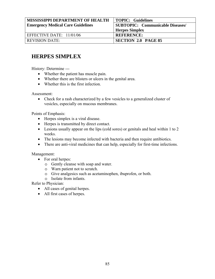| <b>MISSISSIPPI DEPARTMENT OF HEALTH</b>  | <b>TOPIC: Guidelines</b>                |
|------------------------------------------|-----------------------------------------|
| <b>Emergency Medical Care Guidelines</b> | <b>SUBTOPIC: Communicable Diseases/</b> |
|                                          | <b>Herpes Simplex</b>                   |
| EFFECTIVE DATE: 11/01/06                 | <b>REFERENCE:</b>                       |
| <b>REVISION DATE:</b>                    | <b>SECTION 2.0 PAGE 85</b>              |

### **HERPES SIMPLEX**

History: Determine ---

- Whether the patient has muscle pain.
- Whether there are blisters or ulcers in the genital area.
- Whether this is the first infection.

Assessment:

• Check for a rash characterized by a few vesicles to a generalized cluster of vesicles, especially on mucous membranes.

Points of Emphasis:

- Herpes simplex is a viral disease.
- Herpes is transmitted by direct contact.
- Lesions usually appear on the lips (cold sores) or genitals and heal within 1 to 2 weeks.
- The lesions may become infected with bacteria and then require antibiotics.
- There are anti-viral medicines that can help, especially for first-time infections.

Management:

- For oral herpes:
	- o Gently cleanse with soap and water.
	- o Warn patient not to scratch.
	- o Give analgesics such as acetaminophen, ibuprofen, or both.
	- o Isolate from infants.

- All cases of genital herpes.
- All first cases of herpes.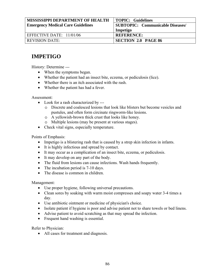| <b>MISSISSIPPI DEPARTMENT OF HEALTH</b>  | TOPIC: Guidelines                |
|------------------------------------------|----------------------------------|
| <b>Emergency Medical Care Guidelines</b> | SUBTOPIC: Communicable Diseases/ |
|                                          | Impetigo                         |
| EFFECTIVE DATE: $11/01/06$               | <b>REFERENCE:</b>                |
| <b>REVISION DATE:</b>                    | <b>SECTION 2.0 PAGE 86</b>       |

### **IMPETIGO**

History: Determine ---

- When the symptoms began.
- Whether the patient had an insect bite, eczema, or pediculosis (lice).
- Whether there is an itch associated with the rash.
- Whether the patient has had a fever.

Assessment:

- Look for a rash characterized by --
	- o Discrete and coalesced lesions that look like blisters but become vesicles and pustules, and often form circinate ringworm-like lesions.
	- o A yellowish-brown thick crust that looks like honey.
	- o Multiple lesions (may be present at various stages).
- Check vital signs, especially temperature.

Points of Emphasis:

- Impetigo is a blistering rash that is caused by a strep skin infection in infants.
- It is highly infectious and spread by contact.
- It may occur as a complication of an insect bite, eczema, or pediculosis.
- It may develop on any part of the body.
- The fluid from lesions can cause infections. Wash hands frequently.
- The incubation period is 7-10 days.
- The disease is common in children.

Management:

- Use proper hygiene, following universal precautions.
- Clean sores by soaking with warm moist compresses and soapy water 3-4 times a day.
- Use antibiotic ointment or medicine of physician's choice.
- Isolate patient if hygiene is poor and advise patient not to share towels or bed linens.
- Advise patient to avoid scratching as that may spread the infection.
- Frequent hand washing is essential.

Refer to Physician:

• All cases for treatment and diagnosis.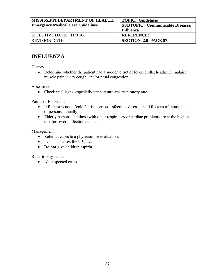| <b>MISSISSIPPI DEPARTMENT OF HEALTH</b>  | <b>TOPIC: Guidelines</b>                |
|------------------------------------------|-----------------------------------------|
| <b>Emergency Medical Care Guidelines</b> | <b>SUBTOPIC: Communicable Diseases/</b> |
|                                          | <b>Influenza</b>                        |
| EFFECTIVE DATE: 11/01/06                 | <b>REFERENCE:</b>                       |
| <b>REVISION DATE:</b>                    | <b>SECTION 2.0 PAGE 87</b>              |

### **INFLUENZA**

History:

• Determine whether the patient had a sudden onset of fever, chills, headache, malaise, muscle pain, a dry cough, and/or nasal congestion.

Assessment:

• Check vital signs, especially temperature and respiratory rate.

Points of Emphasis:

- Influenza is not a "cold." It is a serious infectious disease that kills tens of thousands of persons annually.
- Elderly persons and those with other respiratory or cardiac problems are at the highest risk for severe infection and death.

Management:

- Refer all cases to a physician for evaluation.
- Isolate all cases for 3-5 days.
- **Do not** give children aspirin.

Refer to Physician:

• All suspected cases.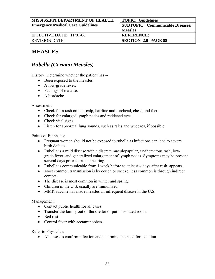| <b>MISSISSIPPI DEPARTMENT OF HEALTH</b>  | <b>TOPIC: Guidelines</b>                |
|------------------------------------------|-----------------------------------------|
| <b>Emergency Medical Care Guidelines</b> | <b>SUBTOPIC: Communicable Diseases/</b> |
|                                          | <b>Measles</b>                          |
| EFFECTIVE DATE: $11/01/06$               | <b>REFERENCE:</b>                       |
| <b>REVISION DATE:</b>                    | <b>SECTION 2.0 PAGE 88</b>              |

### **MEASLES**

### *Rubella (German Measles)*

History: Determine whether the patient has --

- Been exposed to the measles.
- A low-grade fever.
- Feelings of malaise.
- A headache.

Assessment:

- Check for a rash on the scalp, hairline and forehead, chest, and feet.
- Check for enlarged lymph nodes and reddened eyes.
- Check vital signs.
- Listen for abnormal lung sounds, such as rales and wheezes, if possible.

Points of Emphasis:

- Pregnant women should not be exposed to rubella as infections can lead to severe birth defects.
- Rubella is a mild disease with a discrete maculopapular, erythematous rash, lowgrade fever, and generalized enlargement of lymph nodes. Symptoms may be present several days prior to rash appearing.
- Rubella is communicable from 1 week before to at least 4 days after rash appears.
- Most common transmission is by cough or sneeze; less common is through indirect contact.
- The disease is most common in winter and spring.
- Children in the U.S. usually are immunized.
- MMR vaccine has made measles an infrequent disease in the U.S.

Management:

- Contact public health for all cases.
- Transfer the family out of the shelter or put in isolated room.
- Bed rest.
- Control fever with acetaminophen.

Refer to Physician:

• All cases to confirm infection and determine the need for isolation.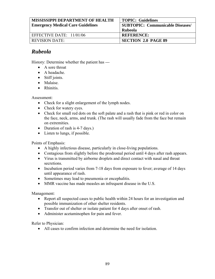| <b>MISSISSIPPI DEPARTMENT OF HEALTH</b>  | <b>TOPIC: Guidelines</b>                |
|------------------------------------------|-----------------------------------------|
| <b>Emergency Medical Care Guidelines</b> | <b>SUBTOPIC: Communicable Diseases/</b> |
|                                          | <b>Rubeola</b>                          |
| EFFECTIVE DATE: 11/01/06                 | <b>REFERENCE:</b>                       |
| <b>REVISION DATE:</b>                    | <b>SECTION 2.0 PAGE 89</b>              |

#### *Rubeola*

History: Determine whether the patient has ---

- A sore throat
- A headache.
- Stiff joints.
- Malaise.
- Rhinitis.

Assessment:

- Check for a slight enlargement of the lymph nodes.
- Check for watery eyes.
- Check for small red dots on the soft palate and a rash that is pink or red in color on the face, neck, arms, and trunk. (The rash will usually fade from the face but remain on extremities.
- Duration of rash is 4-7 days.)
- Listen to lungs, if possible.

Points of Emphasis:

- A highly infectious disease, particularly in close-living populations.
- Contagious from slightly before the prodromal period until 4 days after rash appears.
- Virus is transmitted by airborne droplets and direct contact with nasal and throat secretions.
- Incubation period varies from 7-18 days from exposure to fever; average of 14 days until appearance of rash.
- Sometimes may lead to pneumonia or encephalitis.
- MMR vaccine has made measles an infrequent disease in the U.S.

Management:

- Report all suspected cases to public health within 24 hours for an investigation and possible immunization of other shelter residents.
- Transfer out of shelter or isolate patient for 4 days after onset of rash.
- Administer acetaminophen for pain and fever.

Refer to Physician:

• All cases to confirm infection and determine the need for isolation.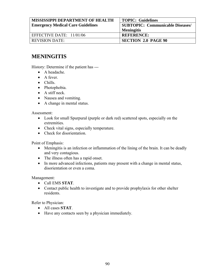| <b>MISSISSIPPI DEPARTMENT OF HEALTH</b>  | <b>TOPIC: Guidelines</b>                |
|------------------------------------------|-----------------------------------------|
| <b>Emergency Medical Care Guidelines</b> | <b>SUBTOPIC: Communicable Diseases/</b> |
|                                          | <b>Meningitis</b>                       |
| EFFECTIVE DATE: 11/01/06                 | <b>REFERENCE:</b>                       |
| <b>REVISION DATE:</b>                    | <b>SECTION 2.0 PAGE 90</b>              |

#### **MENINGITIS**

History: Determine if the patient has ---

- A headache.
- A fever
- Chills.
- Photophobia.
- A stiff neck.
- Nausea and vomiting.
- A change in mental status.

#### Assessment:

- Look for small Spurpural (purple or dark red) scattered spots, especially on the extremities.
- Check vital signs, especially temperature.
- Check for disorientation.

Point of Emphasis:

- Meningitis is an infection or inflammation of the lining of the brain. It can be deadly and very contagious.
- The illness often has a rapid onset.
- In more advanced infections, patients may present with a change in mental status, disorientation or even a coma.

Management:

- Call EMS **STAT**.
- Contact public health to investigate and to provide prophylaxis for other shelter residents.

Refer to Physician:

- All cases **STAT**.
- Have any contacts seen by a physician immediately.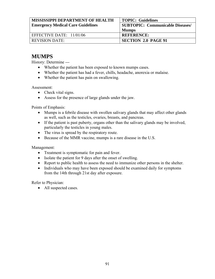| <b>MISSISSIPPI DEPARTMENT OF HEALTH</b>  | <b>TOPIC: Guidelines</b>                |
|------------------------------------------|-----------------------------------------|
| <b>Emergency Medical Care Guidelines</b> | <b>SUBTOPIC: Communicable Diseases/</b> |
|                                          | <b>Mumps</b>                            |
| EFFECTIVE DATE: $11/01/06$               | <b>REFERENCE:</b>                       |
| <b>REVISION DATE:</b>                    | <b>SECTION 2.0 PAGE 91</b>              |

#### **MUMPS**

History: Determine ---

- Whether the patient has been exposed to known mumps cases.
- Whether the patient has had a fever, chills, headache, anorexia or malaise.
- Whether the patient has pain on swallowing.

Assessment:

- Check vital signs.
- Assess for the presence of large glands under the jaw.

Points of Emphasis:

- Mumps is a febrile disease with swollen salivary glands that may affect other glands as well, such as the testicles, ovaries, breasts, and pancreas.
- If the patient is past puberty, organs other than the salivary glands may be involved, particularly the testicles in young males.
- The virus is spread by the respiratory route.
- Because of the MMR vaccine, mumps is a rare disease in the U.S.

Management:

- Treatment is symptomatic for pain and fever.
- Isolate the patient for 9 days after the onset of swelling.
- Report to public health to assess the need to immunize other persons in the shelter.
- Individuals who may have been exposed should be examined daily for symptoms from the 14th through 21st day after exposure.

Refer to Physician:

• All suspected cases.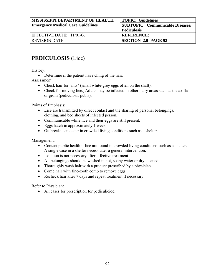| <b>MISSISSIPPI DEPARTMENT OF HEALTH</b>  | <b>TOPIC: Guidelines</b>                |
|------------------------------------------|-----------------------------------------|
| <b>Emergency Medical Care Guidelines</b> | <b>SUBTOPIC: Communicable Diseases/</b> |
|                                          | <b>Pediculosis</b>                      |
| EFFECTIVE DATE: $11/01/06$               | <b>REFERENCE:</b>                       |
| <b>REVISION DATE:</b>                    | <b>SECTION 2.0 PAGE 92</b>              |

## **PEDICULOSIS** (Lice)

History:

• Determine if the patient has itching of the hair.

Assessment:

- Check hair for "nits" (small white-grey eggs often on the shaft).
- Check for moving lice. Adults may be infected in other hairy areas such as the axilla or groin (pediculosis pubis).

Points of Emphasis:

- Lice are transmitted by direct contact and the sharing of personal belongings, clothing, and bed sheets of infected person.
- Communicable while lice and their eggs are still present.
- Eggs hatch in approximately 1 week.
- Outbreaks can occur in crowded living conditions such as a shelter.

Management:

- Contact public health if lice are found in crowded living conditions such as a shelter. A single case in a shelter necessitates a general intervention.
- Isolation is not necessary after effective treatment.
- All belongings should be washed in hot, soapy water or dry cleaned.
- Thoroughly wash hair with a product prescribed by a physician.
- Comb hair with fine-tooth comb to remove eggs.
- Recheck hair after 7 days and repeat treatment if necessary.

Refer to Physician:

• All cases for prescription for pediculicide.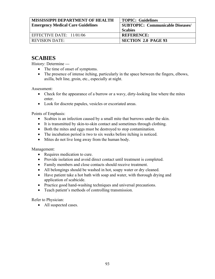| <b>MISSISSIPPI DEPARTMENT OF HEALTH</b>  | <b>TOPIC: Guidelines</b>                |
|------------------------------------------|-----------------------------------------|
| <b>Emergency Medical Care Guidelines</b> | <b>SUBTOPIC: Communicable Diseases/</b> |
|                                          | <b>Scabies</b>                          |
| EFFECTIVE DATE: $11/01/06$               | <b>REFERENCE:</b>                       |
| <b>REVISION DATE:</b>                    | <b>SECTION 2.0 PAGE 93</b>              |

#### **SCABIES**

History: Determine ---

- The time of onset of symptoms.
- The presence of intense itching, particularly in the space between the fingers, elbows, axilla, belt line, groin, etc., especially at night.

Assessment:

- Check for the appearance of a burrow or a wavy, dirty-looking line where the mites enter.
- Look for discrete papules, vesicles or excoriated areas.

Points of Emphasis:

- Scabies is an infection caused by a small mite that burrows under the skin.
- It is transmitted by skin-to-skin contact and sometimes through clothing.
- Both the mites and eggs must be destroyed to stop contamination.
- The incubation period is two to six weeks before itching is noticed.
- Mites do not live long away from the human body.

Management:

- Requires medication to cure.
- Provide isolation and avoid direct contact until treatment is completed.
- Family members and close contacts should receive treatment.
- All belongings should be washed in hot, soapy water or dry cleaned.
- Have patient take a hot bath with soap and water, with thorough drying and application of scabicide.
- Practice good hand-washing techniques and universal precautions.
- Teach patient's methods of controlling transmission.

Refer to Physician:

• All suspected cases.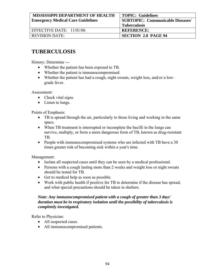| MISSISSIPPI DEPARTMENT OF HEALTH         | <b>TOPIC: Guidelines</b>                |
|------------------------------------------|-----------------------------------------|
| <b>Emergency Medical Care Guidelines</b> | <b>SUBTOPIC: Communicable Diseases/</b> |
|                                          | <b>Tuberculosis</b>                     |
| EFFECTIVE DATE: 11/01/06                 | <b>REFERENCE:</b>                       |
| <b>REVISION DATE:</b>                    | <b>SECTION 2.0 PAGE 94</b>              |

#### **TUBERCULOSIS**

History: Determine ---

- Whether the patient has been exposed to TB.
- Whether the patient is immunocompromised.
- Whether the patient has had a cough, night sweats, weight loss, and/or a lowgrade fever.

Assessment:

- Check vital signs
- Listen to lungs.

Points of Emphasis:

- TB is spread through the air, particularly to those living and working in the same space.
- When TB treatment is interrupted or incomplete the bacilli in the lungs can survive, multiply, or form a more dangerous form of TB, known as drug-resistant TB.
- People with immunocompromised systems who are infected with TB have a 30 times greater risk of becoming sick within a year's time.

Management:

- Isolate all suspected cases until they can be seen by a medical professional.
- Persons with a cough lasting more than 2 weeks and weight loss or night sweats should be tested for TB.
- Get to medical help as soon as possible.
- Work with public health if positive for TB to determine if the disease has spread, and what special precautions should be taken in shelters.

#### *Note: Any immunocompromised patient with a cough of greater than 3 days' duration must be in respiratory isolation until the possibility of tuberculosis is completely investigated.*

Refer to Physician:

- All suspected cases.
- All immunocompromised patients.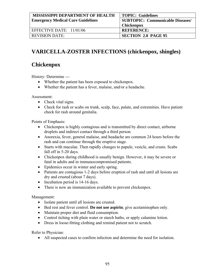| <b>MISSISSIPPI DEPARTMENT OF HEALTH</b>  | <b>TOPIC: Guidelines</b>                |
|------------------------------------------|-----------------------------------------|
| <b>Emergency Medical Care Guidelines</b> | <b>SUBTOPIC: Communicable Diseases/</b> |
|                                          | <b>Chickenpox</b>                       |
| EFFECTIVE DATE: $11/01/06$               | <b>REFERENCE:</b>                       |
| <b>REVISION DATE:</b>                    | <b>SECTION 2.0 PAGE 95</b>              |

## **VARICELLA-ZOSTER INFECTIONS (chickenpox, shingles)**

#### **Chickenpox**

History: Determine ---

- Whether the patient has been exposed to chickenpox.
- Whether the patient has a fever, malaise, and/or a headache.

Assessment:

- Check vital signs.
- Check for rash or scabs on trunk, scalp, face, palate, and extremities. Have patient check for rash around genitalia.

Points of Emphasis:

- Chickenpox is highly contagious and is transmitted by direct contact, airborne droplets and indirect contact through a third person.
- Anorexia, fever, general malaise, and headache are common 24 hours before the rash and can continue through the eruptive stage.
- Starts with maculae. Then rapidly changes to papule, vesicle, and crusts. Scabs fall off in 5-20 days.
- Chickenpox during childhood is usually benign. However, it may be severe or fatal in adults and in immunocompromised patients.
- Epidemics occur in winter and early spring.
- Patients are contagious 1-2 days before eruption of rash and until all lesions are dry and crusted (about 7 days).
- Incubation period is 14-16 days.
- There is now an immunization available to prevent chickenpox.

Management:

- Isolate patient until all lesions are crusted.
- Bed rest and fever control. **Do not use aspirin**; give acetaminophen only.
- Maintain proper diet and fluid consumption.
- Control itching with plain water or starch baths, or apply calamine lotion.
- Dress in loose-fitting clothing and remind patient not to scratch.

Refer to Physician:

• All suspected cases to confirm infection and determine the need for isolation.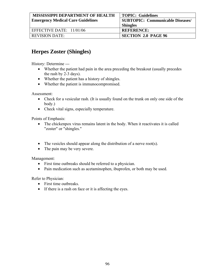| <b>MISSISSIPPI DEPARTMENT OF HEALTH</b>  | <b>TOPIC: Guidelines</b>                |
|------------------------------------------|-----------------------------------------|
| <b>Emergency Medical Care Guidelines</b> | <b>SUBTOPIC: Communicable Diseases/</b> |
|                                          | <b>Shingles</b>                         |
| EFFECTIVE DATE: $11/01/06$               | <b>REFERENCE:</b>                       |
| <b>REVISION DATE:</b>                    | <b>SECTION 2.0 PAGE 96</b>              |

### **Herpes Zoster (Shingles)**

History: Determine ---

- Whether the patient had pain in the area preceding the breakout (usually precedes the rash by 2-3 days).
- Whether the patient has a history of shingles.
- Whether the patient is immunocompromised.

Assessment:

- Check for a vesicular rash. (It is usually found on the trunk on only one side of the body.)
- Check vital signs, especially temperature.

Points of Emphasis:

- The chickenpox virus remains latent in the body. When it reactivates it is called "zoster" or "shingles."
- The vesicles should appear along the distribution of a nerve root(s).
- The pain may be very severe.

Management:

- First time outbreaks should be referred to a physician.
- Pain medication such as acetaminophen, ibuprofen, or both may be used.

Refer to Physician:

- First time outbreaks.
- If there is a rash on face or it is affecting the eyes.